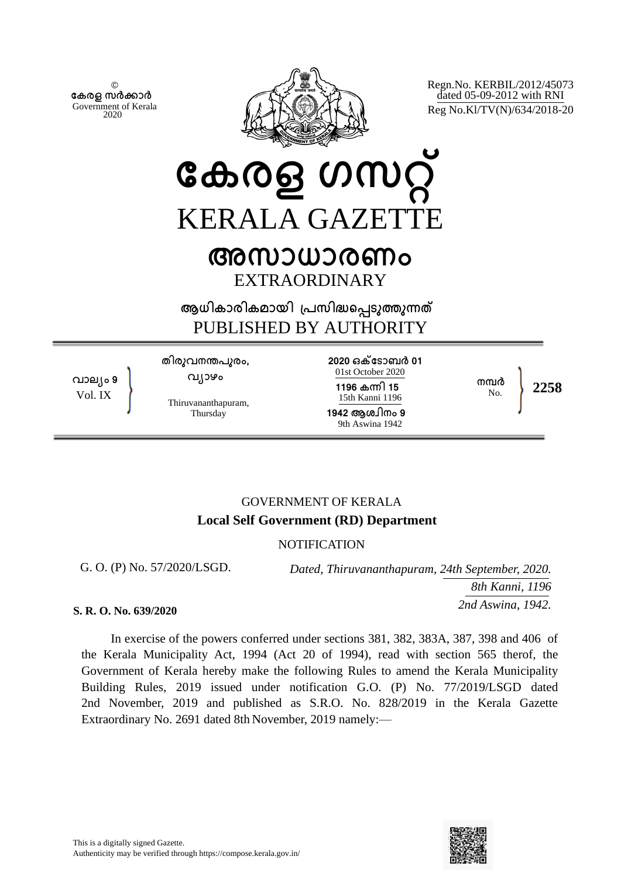© **േകരള സർകാർ** Government of Kerala 2020



Regn.No. KERBIL/2012/45073 dated 05-09-2012 with RNI Reg No.Kl/TV(N)/634/2018-20

# **േകരള ഗസറ്** KERALA GAZETTE **അസാധാരണം**

EXTRAORDINARY

**ആധികാരികമായി ്പസിദെപടുതുനത** PUBLISHED BY AUTHORITY

**വാല്ം 9** Vol. IX

**തിരുവനനപുരം, വ്ാഴം**

Thiruvananthapuram, Thursday

**2020 ഒകേടാബർ 01** 01st October 2020 **1196 കനി 15** 15th Kanni 1196 **1942 ആശ്ിനം 9** 9th Aswina 1942

**നമർ**

No. **2258**

# GOVERNMENT OF KERALA **Local Self Government (RD) Department**

# **NOTIFICATION**

G. O. (P) No. 57/2020/LSGD.

*Dated, Thiruvananthapuram, 24th September, 2020. 8th Kanni, 1196 2nd Aswina, 1942.*

#### **S. R. O. No. 639/2020**

In exercise of the powers conferred under sections 381, 382, 383A, 387, 398 and 406 of the Kerala Municipality Act, 1994 (Act 20 of 1994), read with section 565 therof, the Government of Kerala hereby make the following Rules to amend the Kerala Municipality Building Rules, 2019 issued under notification G.O. (P) No. 77/2019/LSGD dated 2nd November, 2019 and published as S.R.O. No. 828/2019 in the Kerala Gazette Extraordinary No. 2691 dated 8th November, 2019 namely:—

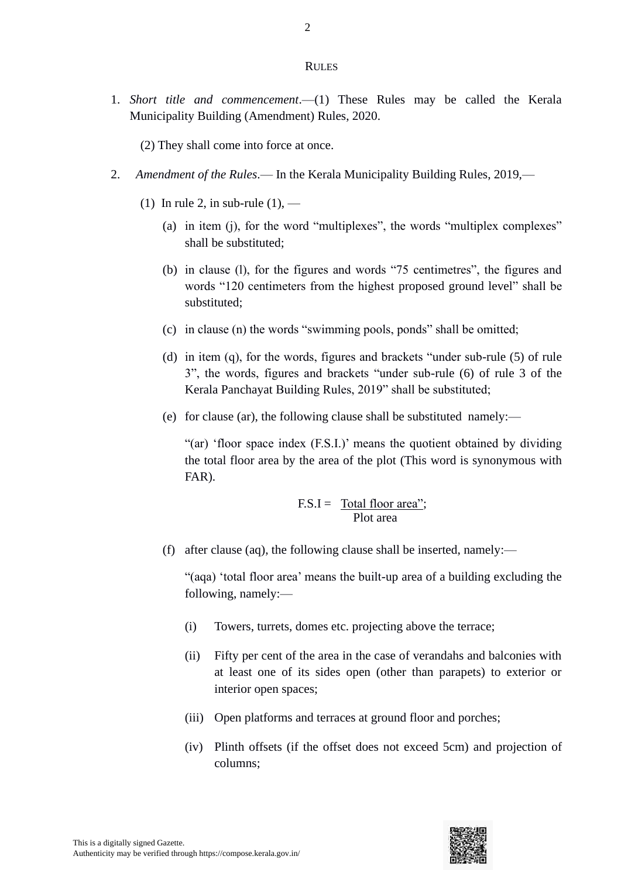#### **RULES**

1. *Short title and commencement*.—(1) These Rules may be called the Kerala Municipality Building (Amendment) Rules, 2020.

(2) They shall come into force at once.

- 2. *Amendment of the Rules*.— In the Kerala Municipality Building Rules, 2019,—
	- (1) In rule 2, in sub-rule  $(1)$ ,
		- (a) in item (j), for the word "multiplexes", the words "multiplex complexes" shall be substituted;
		- (b) in clause (l), for the figures and words "75 centimetres", the figures and words "120 centimeters from the highest proposed ground level" shall be substituted;
		- (c) in clause (n) the words "swimming pools, ponds" shall be omitted;
		- (d) in item (q), for the words, figures and brackets "under sub-rule (5) of rule 3", the words, figures and brackets "under sub-rule (6) of rule 3 of the Kerala Panchayat Building Rules, 2019" shall be substituted;
		- (e) for clause (ar), the following clause shall be substituted namely:—

"(ar) 'floor space index (F.S.I.)' means the quotient obtained by dividing the total floor area by the area of the plot (This word is synonymous with FAR).

$$
F.S.I = \frac{\text{Total floor area'}}{\text{Plot area}};
$$

(f) after clause (aq), the following clause shall be inserted, namely:—

"(aqa) 'total floor area' means the built-up area of a building excluding the following, namely:—

- (i) Towers, turrets, domes etc. projecting above the terrace;
- (ii) Fifty per cent of the area in the case of verandahs and balconies with at least one of its sides open (other than parapets) to exterior or interior open spaces;
- (iii) Open platforms and terraces at ground floor and porches;
- (iv) Plinth offsets (if the offset does not exceed 5cm) and projection of columns;

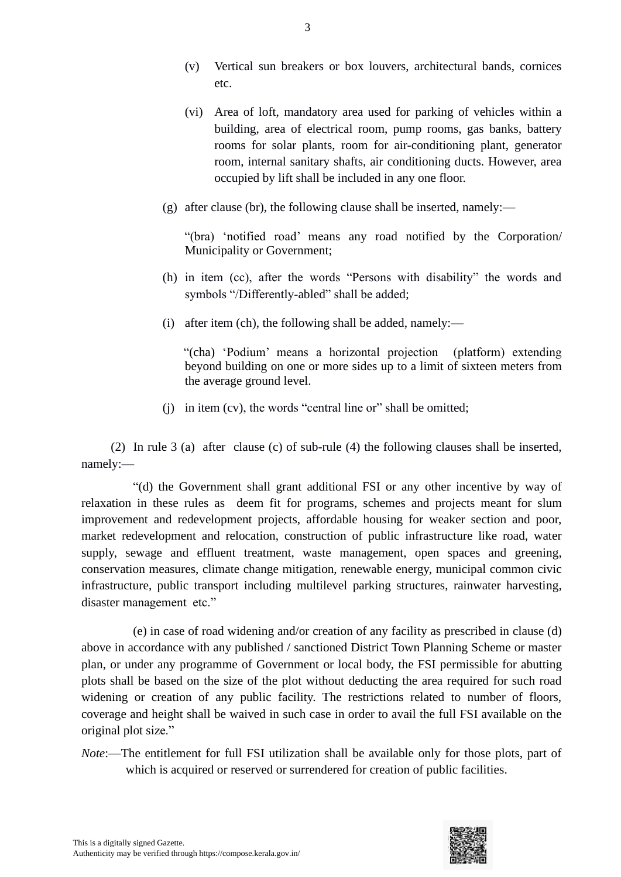- (v) Vertical sun breakers or box louvers, architectural bands, cornices etc.
- (vi) Area of loft, mandatory area used for parking of vehicles within a building, area of electrical room, pump rooms, gas banks, battery rooms for solar plants, room for air-conditioning plant, generator room, internal sanitary shafts, air conditioning ducts. However, area occupied by lift shall be included in any one floor.
- (g) after clause (br), the following clause shall be inserted, namely:—

 "(bra) 'notified road' means any road notified by the Corporation/ Municipality or Government;

- (h) in item (cc), after the words "Persons with disability" the words and symbols "/Differently-abled" shall be added;
- (i) after item (ch), the following shall be added, namely:—

 "(cha) 'Podium' means a horizontal projection (platform) extending beyond building on one or more sides up to a limit of sixteen meters from the average ground level.

(j) in item (cv), the words "central line or" shall be omitted;

(2) In rule 3 (a) after clause (c) of sub-rule (4) the following clauses shall be inserted, namely:—

"(d) the Government shall grant additional FSI or any other incentive by way of relaxation in these rules as deem fit for programs, schemes and projects meant for slum improvement and redevelopment projects, affordable housing for weaker section and poor, market redevelopment and relocation, construction of public infrastructure like road, water supply, sewage and effluent treatment, waste management, open spaces and greening, conservation measures, climate change mitigation, renewable energy, municipal common civic infrastructure, public transport including multilevel parking structures, rainwater harvesting, disaster management etc."

(e) in case of road widening and/or creation of any facility as prescribed in clause (d) above in accordance with any published / sanctioned District Town Planning Scheme or master plan, or under any programme of Government or local body, the FSI permissible for abutting plots shall be based on the size of the plot without deducting the area required for such road widening or creation of any public facility. The restrictions related to number of floors, coverage and height shall be waived in such case in order to avail the full FSI available on the original plot size."

*Note*:—The entitlement for full FSI utilization shall be available only for those plots, part of which is acquired or reserved or surrendered for creation of public facilities.

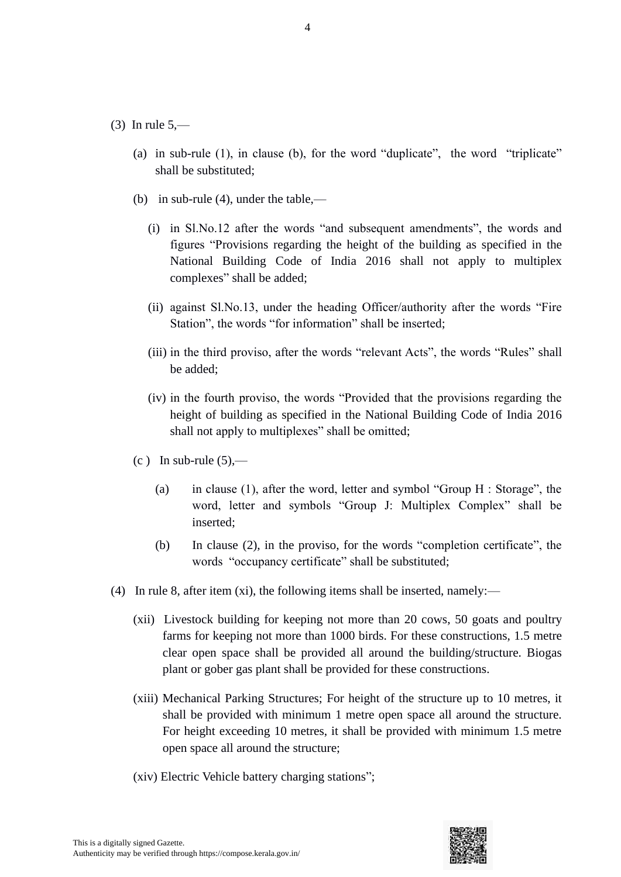#### $(3)$  In rule 5,—

- (a) in sub-rule (1), in clause (b), for the word "duplicate", the word "triplicate" shall be substituted;
- (b) in sub-rule (4), under the table,—
	- (i) in Sl.No.12 after the words "and subsequent amendments", the words and figures "Provisions regarding the height of the building as specified in the National Building Code of India 2016 shall not apply to multiplex complexes" shall be added;
	- (ii) against Sl.No.13, under the heading Officer/authority after the words "Fire Station", the words "for information" shall be inserted;
	- (iii) in the third proviso, after the words "relevant Acts", the words "Rules" shall be added;
	- (iv) in the fourth proviso, the words "Provided that the provisions regarding the height of building as specified in the National Building Code of India 2016 shall not apply to multiplexes" shall be omitted;
- $(c)$  In sub-rule  $(5)$ ,—
	- (a) in clause (1), after the word, letter and symbol "Group H : Storage", the word, letter and symbols "Group J: Multiplex Complex" shall be inserted;
	- (b) In clause (2), in the proviso, for the words "completion certificate", the words "occupancy certificate" shall be substituted;
- (4) In rule 8, after item (xi), the following items shall be inserted, namely:—
	- (xii) Livestock building for keeping not more than 20 cows, 50 goats and poultry farms for keeping not more than 1000 birds. For these constructions, 1.5 metre clear open space shall be provided all around the building/structure. Biogas plant or gober gas plant shall be provided for these constructions.
	- (xiii) Mechanical Parking Structures; For height of the structure up to 10 metres, it shall be provided with minimum 1 metre open space all around the structure. For height exceeding 10 metres, it shall be provided with minimum 1.5 metre open space all around the structure;
	- (xiv) Electric Vehicle battery charging stations";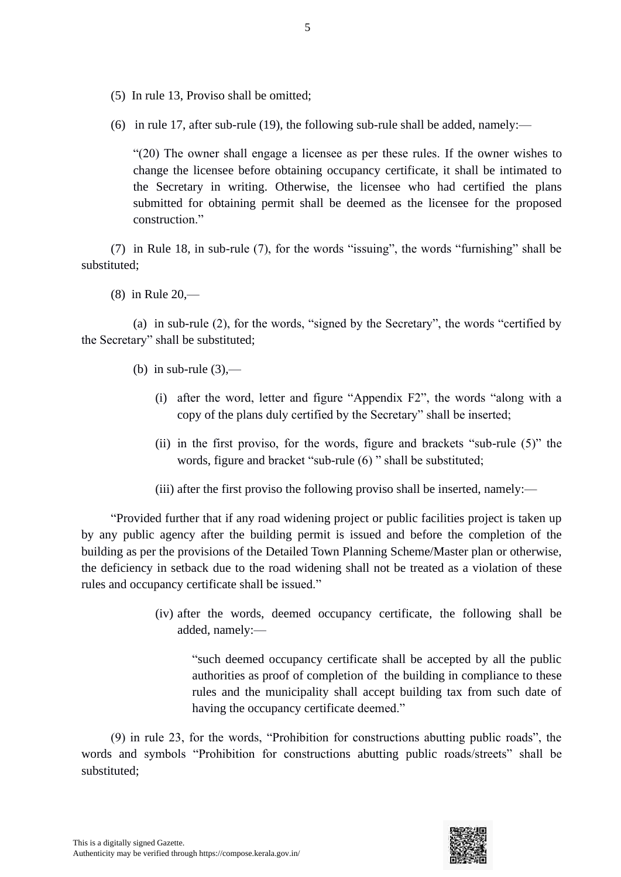- (5) In rule 13, Proviso shall be omitted;
- (6) in rule 17, after sub-rule (19), the following sub-rule shall be added, namely:—

"(20) The owner shall engage a licensee as per these rules. If the owner wishes to change the licensee before obtaining occupancy certificate, it shall be intimated to the Secretary in writing. Otherwise, the licensee who had certified the plans submitted for obtaining permit shall be deemed as the licensee for the proposed construction."

(7) in Rule 18, in sub-rule (7), for the words "issuing", the words "furnishing" shall be substituted;

(8) in Rule 20,—

(a) in sub-rule (2), for the words, "signed by the Secretary", the words "certified by the Secretary" shall be substituted;

- (b) in sub-rule  $(3)$ ,—
	- (i) after the word, letter and figure "Appendix F2", the words "along with a copy of the plans duly certified by the Secretary" shall be inserted;
	- (ii) in the first proviso, for the words, figure and brackets "sub-rule (5)" the words, figure and bracket "sub-rule (6) " shall be substituted;
	- (iii) after the first proviso the following proviso shall be inserted, namely:—

"Provided further that if any road widening project or public facilities project is taken up by any public agency after the building permit is issued and before the completion of the building as per the provisions of the Detailed Town Planning Scheme/Master plan or otherwise, the deficiency in setback due to the road widening shall not be treated as a violation of these rules and occupancy certificate shall be issued."

> (iv) after the words, deemed occupancy certificate, the following shall be added, namely:—

"such deemed occupancy certificate shall be accepted by all the public authorities as proof of completion of the building in compliance to these rules and the municipality shall accept building tax from such date of having the occupancy certificate deemed."

(9) in rule 23, for the words, "Prohibition for constructions abutting public roads", the words and symbols "Prohibition for constructions abutting public roads/streets" shall be substituted;

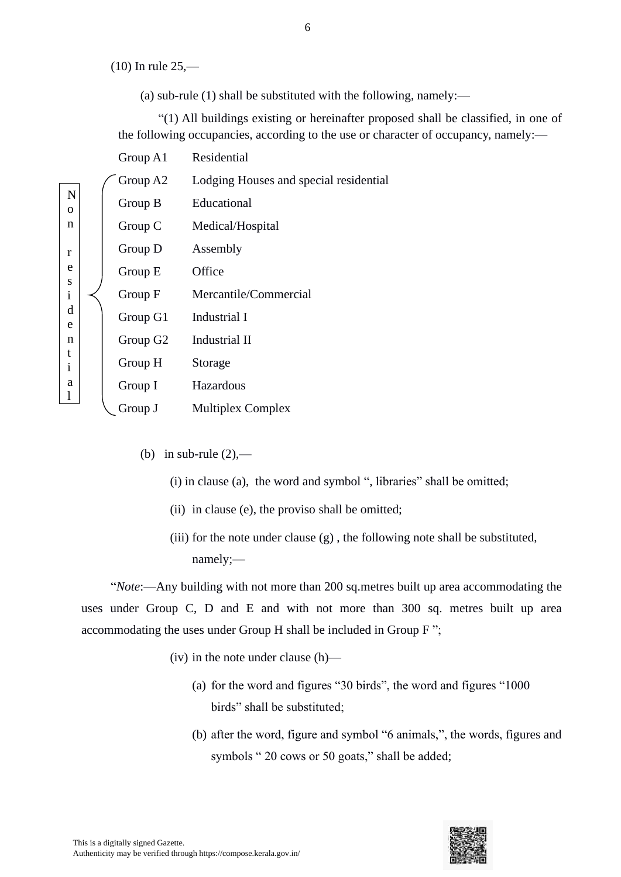(10) In rule 25,—

(a) sub-rule (1) shall be substituted with the following, namely:—

"(1) All buildings existing or hereinafter proposed shall be classified, in one of the following occupancies, according to the use or character of occupancy, namely:—

|                         | Group $A1$ | Residential                            |
|-------------------------|------------|----------------------------------------|
|                         | Group A2   | Lodging Houses and special residential |
| $\mathbf N$<br>$\Omega$ | Group B    | Educational                            |
| n                       | Group C    | Medical/Hospital                       |
| r                       | Group D    | Assembly                               |
| e                       | Group E    | Office                                 |
| S<br>$\mathbf{i}$       | Group F    | Mercantile/Commercial                  |
| d<br>e                  | Group G1   | Industrial I                           |
| n                       | Group G2   | Industrial II                          |
| t<br>$\mathbf{i}$       | Group H    | Storage                                |
| a                       | Group I    | Hazardous                              |
|                         | Group J    | <b>Multiplex Complex</b>               |
|                         |            |                                        |

- (b) in sub-rule  $(2)$ ,—
	- (i) in clause (a), the word and symbol ", libraries" shall be omitted;
	- (ii) in clause (e), the proviso shall be omitted;
	- (iii) for the note under clause  $(g)$ , the following note shall be substituted, namely;—

"*Note*:—Any building with not more than 200 sq.metres built up area accommodating the uses under Group C, D and E and with not more than 300 sq. metres built up area accommodating the uses under Group H shall be included in Group F ";

- (iv) in the note under clause (h)—
	- (a) for the word and figures "30 birds", the word and figures "1000 birds" shall be substituted;
	- (b) after the word, figure and symbol "6 animals,", the words, figures and symbols " 20 cows or 50 goats," shall be added;

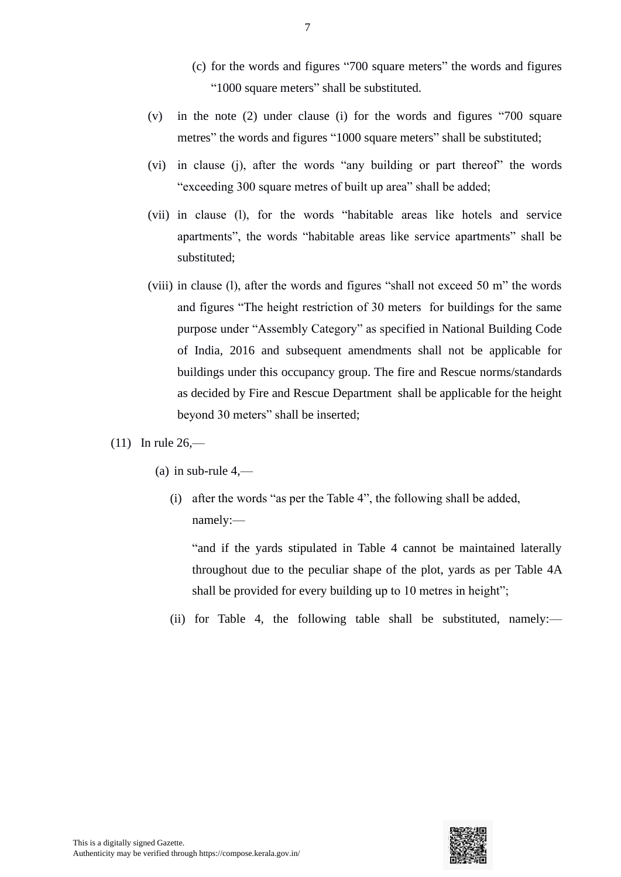- (c) for the words and figures "700 square meters" the words and figures "1000 square meters" shall be substituted.
- (v) in the note (2) under clause (i) for the words and figures "700 square metres" the words and figures "1000 square meters" shall be substituted;
- (vi) in clause (j), after the words "any building or part thereof" the words "exceeding 300 square metres of built up area" shall be added;
- (vii) in clause (l), for the words "habitable areas like hotels and service apartments", the words "habitable areas like service apartments" shall be substituted;
- (viii) in clause (l), after the words and figures "shall not exceed 50 m" the words and figures "The height restriction of 30 meters for buildings for the same purpose under "Assembly Category" as specified in National Building Code of India, 2016 and subsequent amendments shall not be applicable for buildings under this occupancy group. The fire and Rescue norms/standards as decided by Fire and Rescue Department shall be applicable for the height beyond 30 meters" shall be inserted;
- (11) In rule  $26$ 
	- (a) in sub-rule  $4,$ 
		- (i) after the words "as per the Table 4", the following shall be added, namely:—

"and if the yards stipulated in Table 4 cannot be maintained laterally throughout due to the peculiar shape of the plot, yards as per Table 4A shall be provided for every building up to 10 metres in height";

(ii) for Table 4, the following table shall be substituted, namely:—

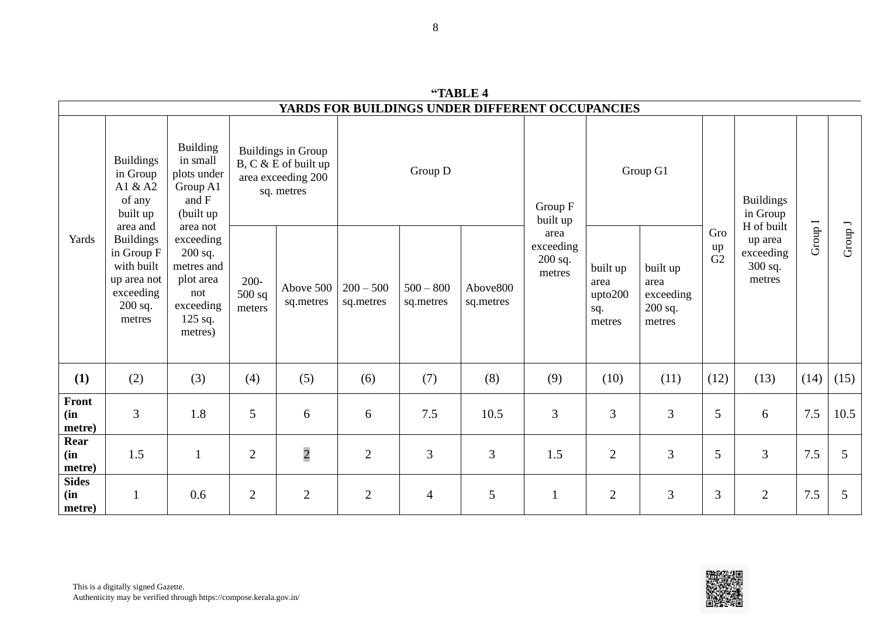|                               | YARDS FOR BUILDINGS UNDER DIFFERENT OCCUPANCIES                                                           |                                                                                                         |                               |                                                                                       |                          |                          |                       |                                                      |                                              |                                                    |                 |                                            |           |         |
|-------------------------------|-----------------------------------------------------------------------------------------------------------|---------------------------------------------------------------------------------------------------------|-------------------------------|---------------------------------------------------------------------------------------|--------------------------|--------------------------|-----------------------|------------------------------------------------------|----------------------------------------------|----------------------------------------------------|-----------------|--------------------------------------------|-----------|---------|
| Yards                         | <b>Buildings</b><br>in Group<br>A1 & A2<br>of any<br>built up                                             | <b>Building</b><br>in small<br>plots under<br>Group A1<br>and F<br>(built up)                           |                               | <b>Buildings in Group</b><br>B, C & E of built up<br>area exceeding 200<br>sq. metres |                          | Group D                  |                       |                                                      | Group G1                                     |                                                    |                 | <b>Buildings</b><br>in Group<br>H of built |           |         |
|                               | area and<br><b>Buildings</b><br>in Group F<br>with built<br>up area not<br>exceeding<br>200 sq.<br>metres | area not<br>exceeding<br>$200$ sq.<br>metres and<br>plot area<br>not<br>exceeding<br>125 sq.<br>metres) | $200 -$<br>$500$ sq<br>meters | Above 500<br>sq.metres                                                                | $200 - 500$<br>sq.metres | $500 - 800$<br>sq.metres | Above800<br>sq.metres | built up<br>area<br>exceeding<br>$200$ sq.<br>metres | built up<br>area<br>upto200<br>sq.<br>metres | built up<br>area<br>exceeding<br>200 sq.<br>metres | Gro<br>up<br>G2 | up area<br>exceeding<br>300 sq.<br>metres  | Group $I$ | Group J |
| (1)                           | (2)                                                                                                       | (3)                                                                                                     | (4)                           | (5)                                                                                   | (6)                      | (7)                      | (8)                   | (9)                                                  | (10)                                         | (11)                                               | (12)            | (13)                                       | (14)      | (15)    |
| Front<br>(in<br>metre)        | 3                                                                                                         | 1.8                                                                                                     | 5                             | 6                                                                                     | 6                        | 7.5                      | 10.5                  | 3                                                    | 3                                            | 3                                                  | 5               | 6                                          | 7.5       | 10.5    |
| Rear<br>(in<br>metre)         | 1.5                                                                                                       | $\mathbf{1}$                                                                                            | $\mathbf{2}$                  | $\overline{c}$                                                                        | $\mathbf{2}$             | 3                        | 3                     | 1.5                                                  | $\overline{2}$                               | 3                                                  | 5               | 3                                          | 7.5       | 5       |
| <b>Sides</b><br>(in<br>metre) |                                                                                                           | 0.6                                                                                                     | $\overline{2}$                | $\mathbf{2}$                                                                          | $\overline{2}$           | $\overline{4}$           | 5                     |                                                      | $\mathbf{2}$                                 | 3                                                  | 3               | $\mathfrak{2}$                             | $7.5$     | 5       |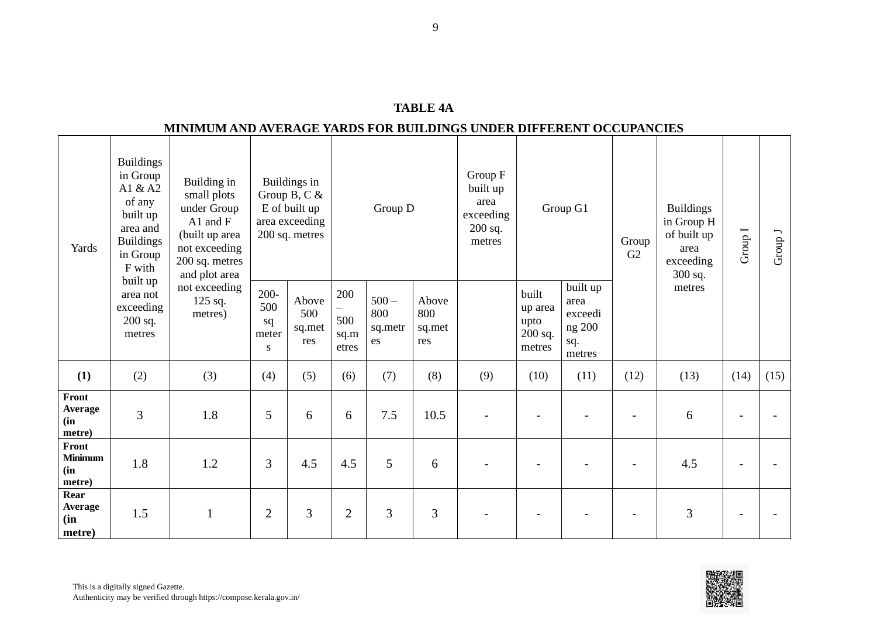| A RL E |
|--------|
|--------|

#### **MINIMUM AND AVERAGE YARDS FOR BUILDINGS UNDER DIFFERENT OCCUPANCIES**

| Yards                                     | <b>Buildings</b><br>in Group<br>A1 & A2<br>of any<br>built up<br>area and<br><b>Buildings</b><br>in Group<br>F with | Building in<br>small plots<br>under Group<br>A1 and $F$<br>(built up area<br>not exceeding<br>200 sq. metres<br>and plot area<br>not exceeding<br>125 sq.<br>metres) |                                    | Buildings in<br>Group B, C $&$<br>E of built up<br>area exceeding<br>200 sq. metres |                             | Group D                         |                               | Group F<br>built up<br>area<br>exceeding<br>200 sq.<br>metres | Group G1                                        |                                                        | Group<br>G2 | <b>Buildings</b><br>in Group H<br>of built up<br>area<br>exceeding<br>300 sq. | Group I                  | Group J |
|-------------------------------------------|---------------------------------------------------------------------------------------------------------------------|----------------------------------------------------------------------------------------------------------------------------------------------------------------------|------------------------------------|-------------------------------------------------------------------------------------|-----------------------------|---------------------------------|-------------------------------|---------------------------------------------------------------|-------------------------------------------------|--------------------------------------------------------|-------------|-------------------------------------------------------------------------------|--------------------------|---------|
|                                           | built up<br>area not<br>exceeding<br>$200$ sq.<br>metres                                                            |                                                                                                                                                                      | $200 -$<br>500<br>sq<br>meter<br>S | Above<br>500<br>sq.met<br>res                                                       | 200<br>500<br>sq.m<br>etres | $500 -$<br>800<br>sq.metr<br>es | Above<br>800<br>sq.met<br>res |                                                               | built<br>up area<br>upto<br>$200$ sq.<br>metres | built up<br>area<br>exceedi<br>ng 200<br>sq.<br>metres |             | metres                                                                        |                          |         |
| (1)                                       | (2)                                                                                                                 | (3)                                                                                                                                                                  | (4)                                | (5)                                                                                 | (6)                         | (7)                             | (8)                           | (9)                                                           | (10)                                            | (11)                                                   | (12)        | (13)                                                                          | (14)                     | (15)    |
| Front<br>Average<br>(in<br>metre)         | 3                                                                                                                   | 1.8                                                                                                                                                                  | 5                                  | 6                                                                                   | 6                           | 7.5                             | 10.5                          |                                                               |                                                 |                                                        |             | 6                                                                             |                          |         |
| Front<br><b>Minimum</b><br>(in)<br>metre) | 1.8                                                                                                                 | 1.2                                                                                                                                                                  | 3                                  | 4.5                                                                                 | 4.5                         | 5                               | 6                             |                                                               |                                                 |                                                        |             | 4.5                                                                           | $\overline{\phantom{0}}$ |         |
| Rear<br>Average<br>(in<br>metre)          | 1.5                                                                                                                 | $\mathbf{1}$                                                                                                                                                         | $\overline{2}$                     | $\overline{3}$                                                                      | $\overline{2}$              | 3                               | 3                             |                                                               |                                                 |                                                        |             | 3                                                                             |                          |         |

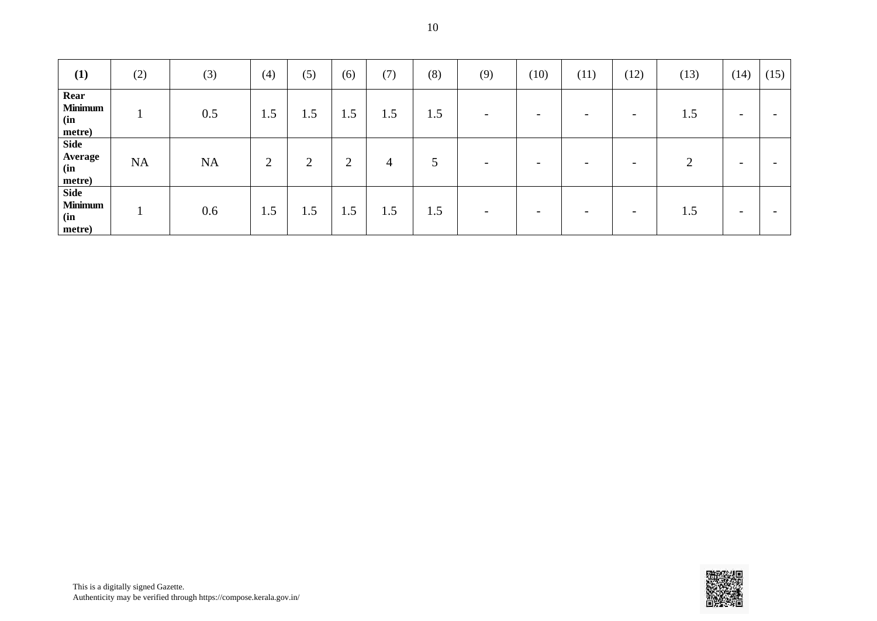| (1)                                            | (2) | (3)       | (4) | (5)            | (6)            | (7) | (8)           | (9)                      | (10)                     | (11)                     | (12)                     | (13) | (14)                     | (15) |
|------------------------------------------------|-----|-----------|-----|----------------|----------------|-----|---------------|--------------------------|--------------------------|--------------------------|--------------------------|------|--------------------------|------|
| Rear<br><b>Minimum</b><br>(in<br>metre)        |     | 0.5       | 1.5 | 1.5            | 1.5            | 1.5 | 1.5           | $\overline{\phantom{a}}$ | $\overline{\phantom{0}}$ |                          | $\overline{\phantom{0}}$ | 1.5  | $\overline{\phantom{0}}$ |      |
| <b>Side</b><br>Average<br>(in<br>metre)        | NA  | <b>NA</b> | 2   | $\overline{2}$ | $\overline{2}$ | 4   | $\mathcal{L}$ | $\overline{\phantom{0}}$ | $\overline{\phantom{0}}$ | $\overline{\phantom{0}}$ | $\overline{\phantom{0}}$ | ∍    | $\overline{\phantom{0}}$ |      |
| <b>Side</b><br><b>Minimum</b><br>(in<br>metre) |     | 0.6       | 1.5 | 1.5            | 1.5            | 1.5 | 1.5           | $\overline{\phantom{a}}$ | $\overline{\phantom{0}}$ |                          | $\overline{\phantom{0}}$ | 1.5  | $\overline{\phantom{0}}$ |      |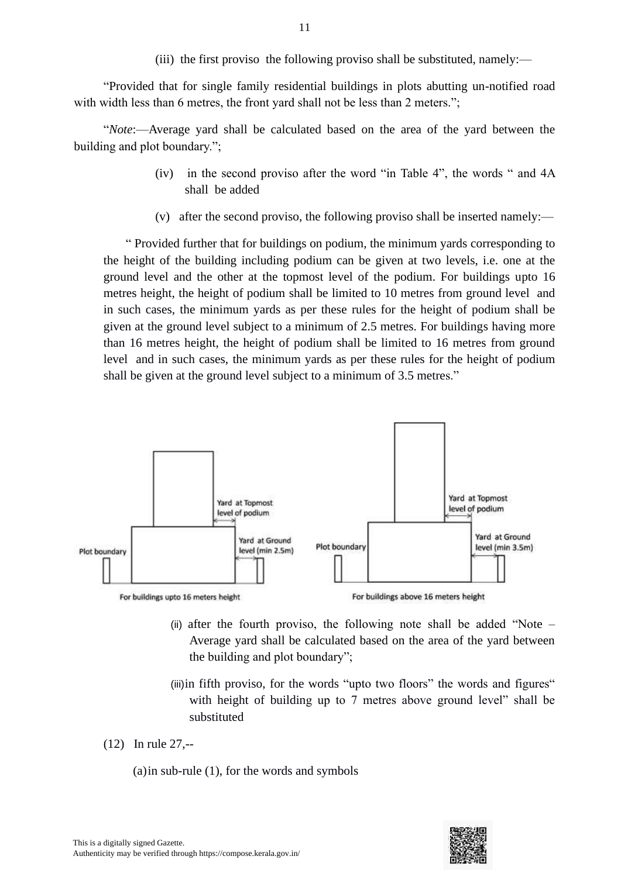(iii) the first proviso the following proviso shall be substituted, namely:—

"Provided that for single family residential buildings in plots abutting un-notified road with width less than 6 metres, the front yard shall not be less than 2 meters.";

"*Note*:—Average yard shall be calculated based on the area of the yard between the building and plot boundary.";

- (iv) in the second proviso after the word "in Table 4", the words " and 4A shall be added
- (v) after the second proviso, the following proviso shall be inserted namely:—

" Provided further that for buildings on podium, the minimum yards corresponding to the height of the building including podium can be given at two levels, i.e. one at the ground level and the other at the topmost level of the podium. For buildings upto 16 metres height, the height of podium shall be limited to 10 metres from ground level and in such cases, the minimum yards as per these rules for the height of podium shall be given at the ground level subject to a minimum of 2.5 metres. For buildings having more than 16 metres height, the height of podium shall be limited to 16 metres from ground level and in such cases, the minimum yards as per these rules for the height of podium shall be given at the ground level subject to a minimum of 3.5 metres."



- (ii) after the fourth proviso, the following note shall be added "Note Average yard shall be calculated based on the area of the yard between the building and plot boundary";
- (iii)in fifth proviso, for the words "upto two floors" the words and figures" with height of building up to 7 metres above ground level" shall be substituted
- (12) In rule 27,--
	- (a)in sub-rule (1), for the words and symbols

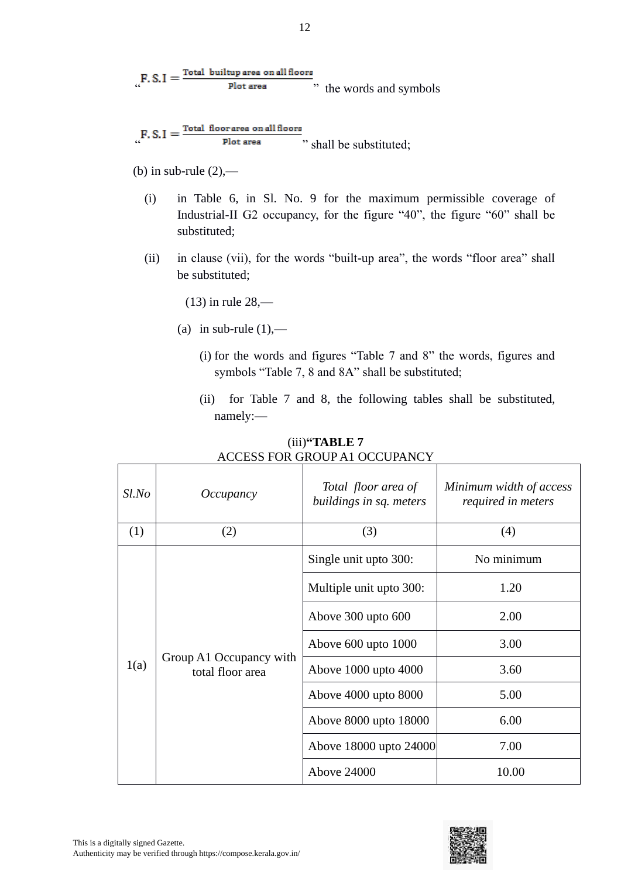$_{\alpha}$ F. S. I =  $\frac{\text{Total builtup area on all floors}}{\text{Plot area}}$ , the words and symbols

 $F.S.I = \frac{\text{Total floor area on all floors}}{\text{Plot area}},$  shall be substituted;

(b) in sub-rule  $(2)$ ,—

- (i) in Table 6, in Sl. No. 9 for the maximum permissible coverage of Industrial-II G2 occupancy, for the figure "40", the figure "60" shall be substituted;
- (ii) in clause (vii), for the words "built-up area", the words "floor area" shall be substituted;

(13) in rule 28,—

- (a) in sub-rule  $(1)$ ,—
	- (i) for the words and figures "Table 7 and 8" the words, figures and symbols "Table 7, 8 and 8A" shall be substituted;
	- (ii) for Table 7 and 8, the following tables shall be substituted, namely:—

| $Sl$ .No | Occupancy                                   | Total floor area of<br>buildings in sq. meters | Minimum width of access<br>required in meters |  |  |
|----------|---------------------------------------------|------------------------------------------------|-----------------------------------------------|--|--|
| (1)      | (2)                                         | (3)                                            | (4)                                           |  |  |
|          |                                             | Single unit upto 300:                          | No minimum                                    |  |  |
|          |                                             | Multiple unit upto 300:                        | 1.20                                          |  |  |
|          |                                             | Above $300$ upto $600$                         | 2.00                                          |  |  |
|          |                                             | Above 600 upto 1000                            | 3.00                                          |  |  |
| 1(a)     | Group A1 Occupancy with<br>total floor area | Above 1000 upto 4000                           | 3.60                                          |  |  |
|          |                                             | Above 4000 upto 8000                           | 5.00                                          |  |  |
|          |                                             | Above 8000 upto 18000                          | 6.00                                          |  |  |
|          |                                             | Above 18000 upto 24000                         | 7.00                                          |  |  |
|          |                                             | <b>Above 24000</b>                             | 10.00                                         |  |  |

(iii)**"TABLE 7** ACCESS FOR GROUP A1 OCCUPANCY

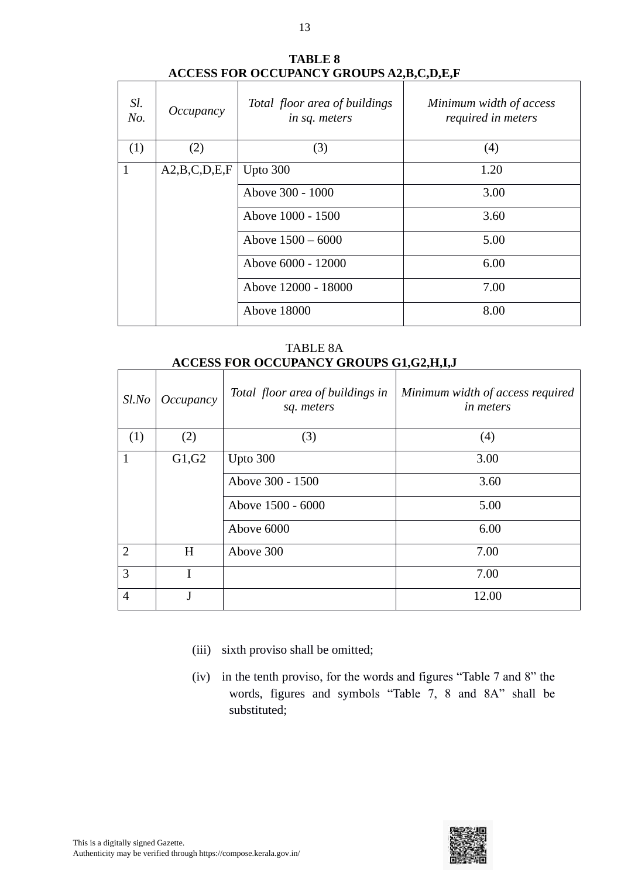| Sl.<br>No. | Occupancy    | Total floor area of buildings<br>in sq. meters | Minimum width of access<br>required in meters |
|------------|--------------|------------------------------------------------|-----------------------------------------------|
| (1)        | (2)          | (3)                                            | (4)                                           |
| 1          | A2,B,C,D,E,F | Upto $300$                                     | 1.20                                          |
|            |              | Above 300 - 1000                               | 3.00                                          |
|            |              | Above 1000 - 1500                              | 3.60                                          |
|            |              | Above $1500 - 6000$                            | 5.00                                          |
|            |              | Above 6000 - 12000                             | 6.00                                          |
|            |              | Above 12000 - 18000                            | 7.00                                          |
|            |              | <b>Above 18000</b>                             | 8.00                                          |

#### **TABLE 8 ACCESS FOR OCCUPANCY GROUPS A2,B,C,D,E,F**

TABLE 8A **ACCESS FOR OCCUPANCY GROUPS G1,G2,H,I,J**

| $Sl$ .No       | Occupancy | Total floor area of buildings in<br>sq. meters | Minimum width of access required<br><i>in meters</i> |
|----------------|-----------|------------------------------------------------|------------------------------------------------------|
| (1)            | (2)       | (3)                                            | (4)                                                  |
| $\mathbf{1}$   | G1, G2    | Upto $300$                                     | 3.00                                                 |
|                |           | Above 300 - 1500                               | 3.60                                                 |
|                |           | Above 1500 - 6000                              | 5.00                                                 |
|                |           | Above 6000                                     | 6.00                                                 |
| $\overline{2}$ | H         | Above 300                                      | 7.00                                                 |
| 3              | T         |                                                | 7.00                                                 |
| $\overline{4}$ | J         |                                                | 12.00                                                |

- (iii) sixth proviso shall be omitted;
- (iv) in the tenth proviso, for the words and figures "Table 7 and 8" the words, figures and symbols "Table 7, 8 and 8A" shall be substituted;

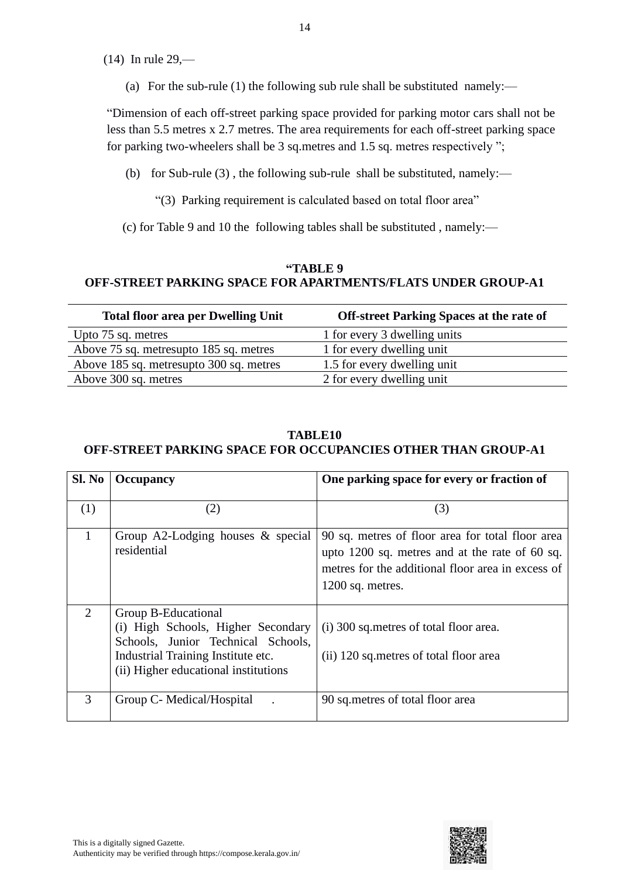(14) In rule 29,—

(a) For the sub-rule (1) the following sub rule shall be substituted namely:—

"Dimension of each off-street parking space provided for parking motor cars shall not be less than 5.5 metres x 2.7 metres. The area requirements for each off-street parking space for parking two-wheelers shall be 3 sq.metres and 1.5 sq. metres respectively ";

- (b) for Sub-rule (3) , the following sub-rule shall be substituted, namely:—
	- "(3) Parking requirement is calculated based on total floor area"

(c) for Table 9 and 10 the following tables shall be substituted , namely:—

#### **"TABLE 9 OFF-STREET PARKING SPACE FOR APARTMENTS/FLATS UNDER GROUP-A1**

| <b>Total floor area per Dwelling Unit</b> | <b>Off-street Parking Spaces at the rate of</b> |
|-------------------------------------------|-------------------------------------------------|
| Upto 75 sq. metres                        | 1 for every 3 dwelling units                    |
| Above 75 sq. metresupto 185 sq. metres    | 1 for every dwelling unit                       |
| Above 185 sq. metresupto 300 sq. metres   | 1.5 for every dwelling unit                     |
| Above 300 sq. metres                      | 2 for every dwelling unit                       |

#### **TABLE10 OFF-STREET PARKING SPACE FOR OCCUPANCIES OTHER THAN GROUP-A1**

| Sl. No | <b>Occupancy</b>                                                                                                                                                              | One parking space for every or fraction of                                                                                                                                    |
|--------|-------------------------------------------------------------------------------------------------------------------------------------------------------------------------------|-------------------------------------------------------------------------------------------------------------------------------------------------------------------------------|
| (1)    | (2)                                                                                                                                                                           | (3)                                                                                                                                                                           |
| 1      | Group A2-Lodging houses & special<br>residential                                                                                                                              | 90 sq. metres of floor area for total floor area<br>upto 1200 sq. metres and at the rate of 60 sq.<br>metres for the additional floor area in excess of<br>$1200$ sq. metres. |
| 2      | Group B-Educational<br>(i) High Schools, Higher Secondary<br>Schools, Junior Technical Schools,<br>Industrial Training Institute etc.<br>(ii) Higher educational institutions | (i) 300 sq. metres of total floor area.<br>(ii) 120 sq. metres of total floor area                                                                                            |
| 3      | Group C- Medical/Hospital                                                                                                                                                     | 90 sq. metres of total floor area                                                                                                                                             |

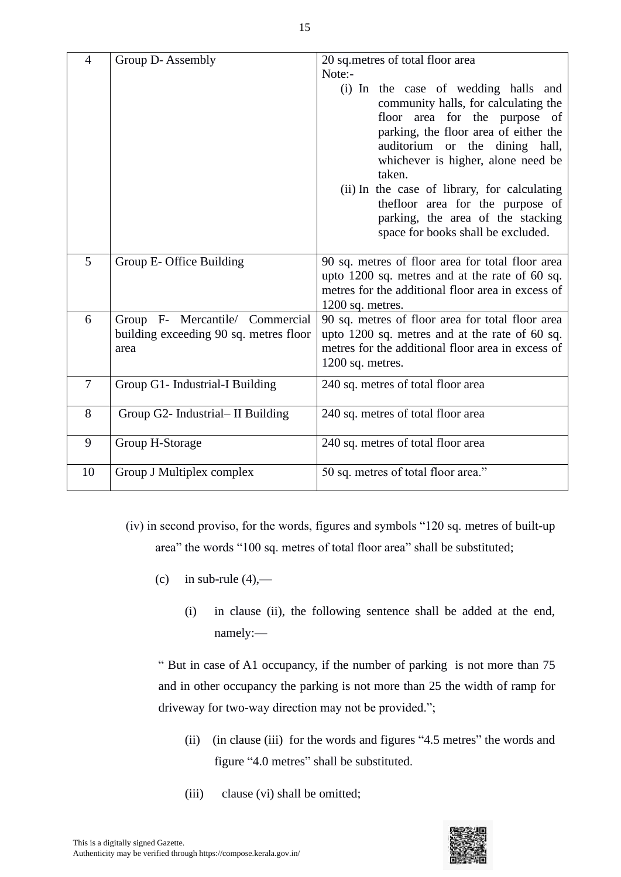| $\overline{4}$ | Group D-Assembly                                                                  | 20 sq.metres of total floor area<br>Note:-                                                                                                                                                                                                                                                                                                                                                               |
|----------------|-----------------------------------------------------------------------------------|----------------------------------------------------------------------------------------------------------------------------------------------------------------------------------------------------------------------------------------------------------------------------------------------------------------------------------------------------------------------------------------------------------|
|                |                                                                                   | (i) In the case of wedding halls and<br>community halls, for calculating the<br>floor area for the purpose of<br>parking, the floor area of either the<br>auditorium or the dining hall,<br>whichever is higher, alone need be<br>taken.<br>(ii) In the case of library, for calculating<br>the floor area for the purpose of<br>parking, the area of the stacking<br>space for books shall be excluded. |
| 5              | Group E- Office Building                                                          | 90 sq. metres of floor area for total floor area<br>upto 1200 sq. metres and at the rate of 60 sq.<br>metres for the additional floor area in excess of<br>$1200$ sq. metres.                                                                                                                                                                                                                            |
| 6              | Group F- Mercantile/ Commercial<br>building exceeding 90 sq. metres floor<br>area | 90 sq. metres of floor area for total floor area<br>upto 1200 sq. metres and at the rate of 60 sq.<br>metres for the additional floor area in excess of<br>$1200$ sq. metres.                                                                                                                                                                                                                            |
| $\overline{7}$ | Group G1- Industrial-I Building                                                   | 240 sq. metres of total floor area                                                                                                                                                                                                                                                                                                                                                                       |
| 8              | Group G2- Industrial- II Building                                                 | 240 sq. metres of total floor area                                                                                                                                                                                                                                                                                                                                                                       |
| 9              | Group H-Storage                                                                   | 240 sq. metres of total floor area                                                                                                                                                                                                                                                                                                                                                                       |
| 10             | Group J Multiplex complex                                                         | 50 sq. metres of total floor area."                                                                                                                                                                                                                                                                                                                                                                      |

- (iv) in second proviso, for the words, figures and symbols "120 sq. metres of built-up area" the words "100 sq. metres of total floor area" shall be substituted;
	- (c) in sub-rule  $(4)$ ,—
		- (i) in clause (ii), the following sentence shall be added at the end, namely:—

" But in case of A1 occupancy, if the number of parking is not more than 75 and in other occupancy the parking is not more than 25 the width of ramp for driveway for two-way direction may not be provided.";

- (ii) (in clause (iii) for the words and figures "4.5 metres" the words and figure "4.0 metres" shall be substituted.
- (iii) clause (vi) shall be omitted;

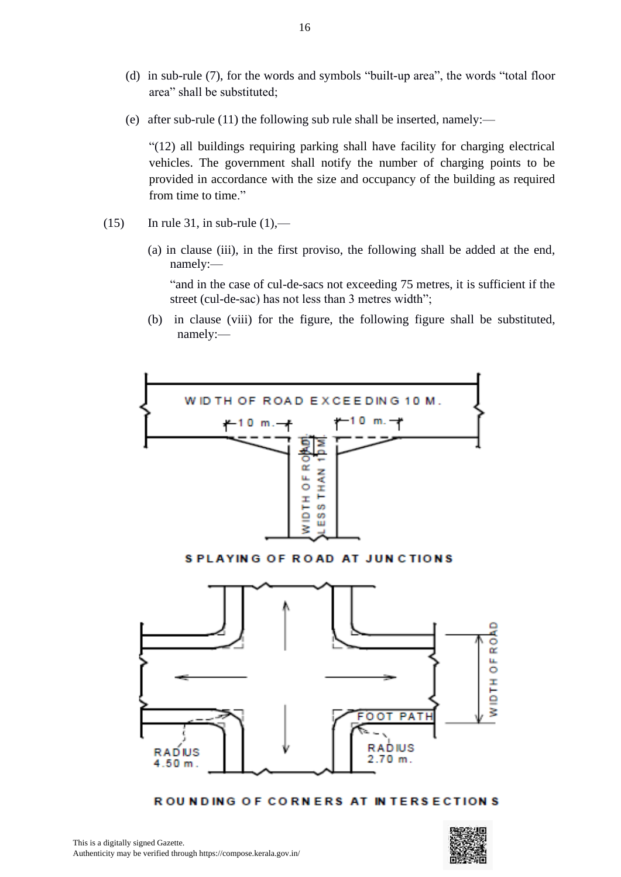- (d) in sub-rule (7), for the words and symbols "built-up area", the words "total floor area" shall be substituted;
- (e) after sub-rule (11) the following sub rule shall be inserted, namely:—

"(12) all buildings requiring parking shall have facility for charging electrical vehicles. The government shall notify the number of charging points to be provided in accordance with the size and occupancy of the building as required from time to time."

- $(15)$  In rule 31, in sub-rule  $(1)$ ,—
	- (a) in clause (iii), in the first proviso, the following shall be added at the end, namely:—

"and in the case of cul-de-sacs not exceeding 75 metres, it is sufficient if the street (cul-de-sac) has not less than 3 metres width";

(b) in clause (viii) for the figure, the following figure shall be substituted, namely:—



ROUNDING OF CORNERS AT INTERSECTIONS

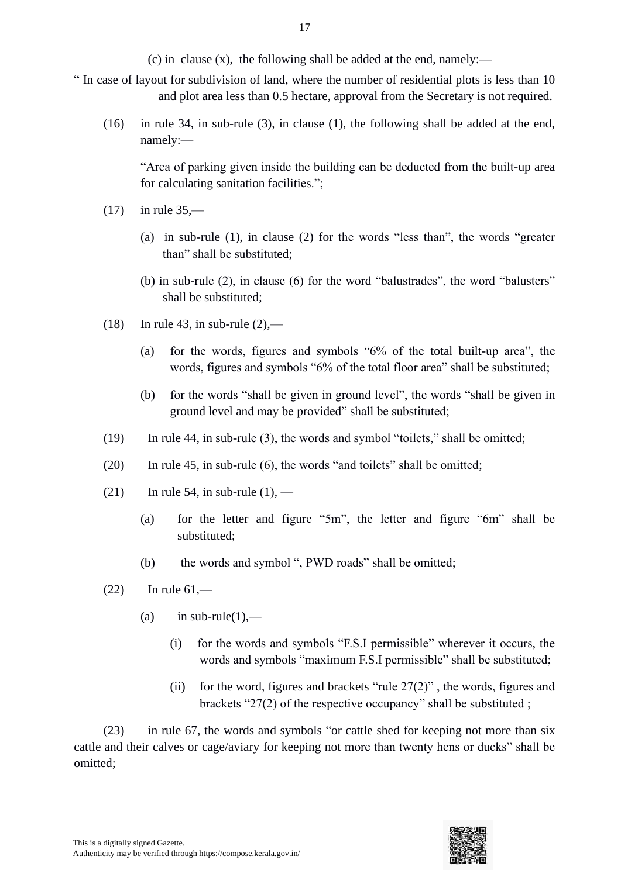(c) in clause (x), the following shall be added at the end, namely:—

- " In case of layout for subdivision of land, where the number of residential plots is less than 10 and plot area less than 0.5 hectare, approval from the Secretary is not required.
	- (16) in rule 34, in sub-rule (3), in clause (1), the following shall be added at the end, namely:—

"Area of parking given inside the building can be deducted from the built-up area for calculating sanitation facilities.";

- $(17)$  in rule 35,—
	- (a) in sub-rule (1), in clause (2) for the words "less than", the words "greater than" shall be substituted;
	- (b) in sub-rule (2), in clause (6) for the word "balustrades", the word "balusters" shall be substituted;
- $(18)$  In rule 43, in sub-rule  $(2)$ ,—
	- (a) for the words, figures and symbols "6% of the total built-up area", the words, figures and symbols "6% of the total floor area" shall be substituted;
	- (b) for the words "shall be given in ground level", the words "shall be given in ground level and may be provided" shall be substituted;
- (19) In rule 44, in sub-rule (3), the words and symbol "toilets," shall be omitted;
- $(20)$  In rule 45, in sub-rule  $(6)$ , the words "and toilets" shall be omitted;
- (21) In rule 54, in sub-rule  $(1)$ ,
	- (a) for the letter and figure "5m", the letter and figure "6m" shall be substituted;
	- (b) the words and symbol ", PWD roads" shall be omitted;
- $(22)$  In rule  $61$ ,—
	- (a) in sub-rule(1),—
		- (i) for the words and symbols "F.S.I permissible" wherever it occurs, the words and symbols "maximum F.S.I permissible" shall be substituted;
		- (ii) for the word, figures and brackets "rule  $27(2)$ ", the words, figures and brackets "27(2) of the respective occupancy" shall be substituted ;

(23) in rule 67, the words and symbols "or cattle shed for keeping not more than six cattle and their calves or cage/aviary for keeping not more than twenty hens or ducks" shall be omitted;

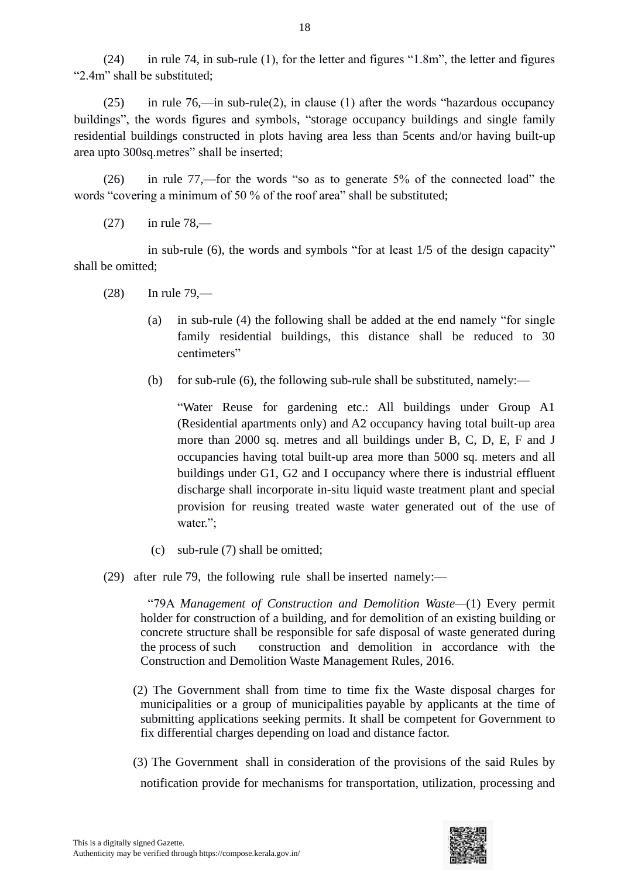(24) in rule 74, in sub-rule (1), for the letter and figures "1.8m", the letter and figures "2.4m" shall be substituted;

(25) in rule 76,—in sub-rule(2), in clause (1) after the words "hazardous occupancy buildings", the words figures and symbols, "storage occupancy buildings and single family residential buildings constructed in plots having area less than 5cents and/or having built-up area upto 300sq.metres" shall be inserted;

(26) in rule 77,—for the words "so as to generate 5% of the connected load" the words "covering a minimum of 50 % of the roof area" shall be substituted;

 $(27)$  in rule 78,—

in sub-rule (6), the words and symbols "for at least 1/5 of the design capacity" shall be omitted;

- (28) In rule 79,—
	- (a) in sub-rule (4) the following shall be added at the end namely "for single family residential buildings, this distance shall be reduced to 30 centimeters"
	- (b) for sub-rule (6), the following sub-rule shall be substituted, namely:—

"Water Reuse for gardening etc.: All buildings under Group A1 (Residential apartments only) and A2 occupancy having total built-up area more than 2000 sq. metres and all buildings under B, C, D, E, F and J occupancies having total built-up area more than 5000 sq. meters and all buildings under G1, G2 and I occupancy where there is industrial effluent discharge shall incorporate in-situ liquid waste treatment plant and special provision for reusing treated waste water generated out of the use of water.";

- (c) sub-rule (7) shall be omitted;
- (29) after rule 79, the following rule shall be inserted namely:—

"79A *Management of Construction and Demolition Waste—*(1) Every permit holder for construction of a building, and for demolition of an existing building or concrete structure shall be responsible for safe disposal of waste generated during the process of such construction and demolition in accordance with the Construction and Demolition Waste Management Rules, 2016.

- (2) The Government shall from time to time fix the Waste disposal charges for municipalities or a group of municipalities payable by applicants at the time of submitting applications seeking permits. It shall be competent for Government to fix differential charges depending on load and distance factor.
- (3) The Government shall in consideration of the provisions of the said Rules by notification provide for mechanisms for transportation, utilization, processing and

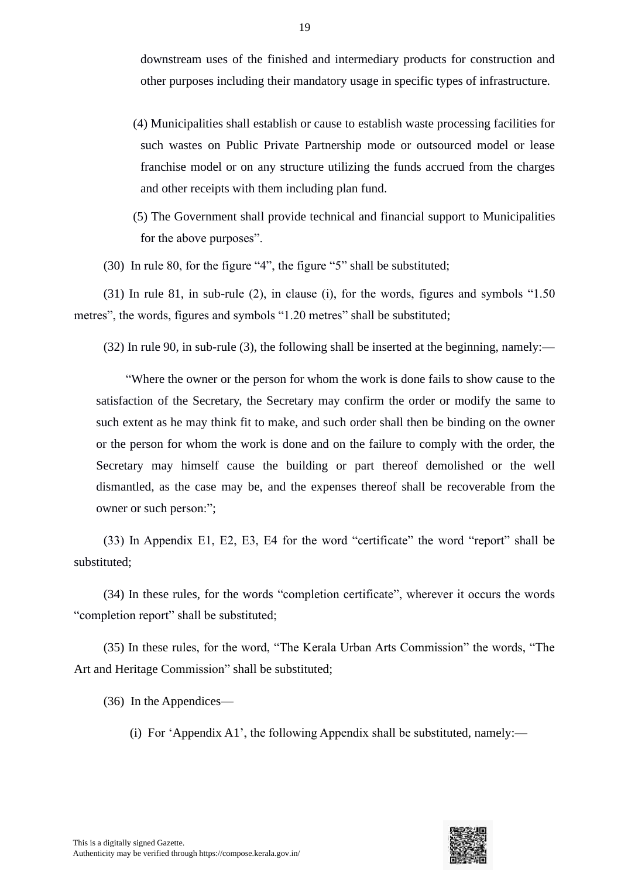downstream uses of the finished and intermediary products for construction and other purposes including their mandatory usage in specific types of infrastructure.

- (4) Municipalities shall establish or cause to establish waste processing facilities for such wastes on Public Private Partnership mode or outsourced model or lease franchise model or on any structure utilizing the funds accrued from the charges and other receipts with them including plan fund.
- (5) The Government shall provide technical and financial support to Municipalities for the above purposes".

(30) In rule 80, for the figure "4", the figure "5" shall be substituted;

(31) In rule 81, in sub-rule (2), in clause (i), for the words, figures and symbols "1.50 metres", the words, figures and symbols "1.20 metres" shall be substituted;

(32) In rule 90, in sub-rule (3), the following shall be inserted at the beginning, namely:—

"Where the owner or the person for whom the work is done fails to show cause to the satisfaction of the Secretary, the Secretary may confirm the order or modify the same to such extent as he may think fit to make, and such order shall then be binding on the owner or the person for whom the work is done and on the failure to comply with the order, the Secretary may himself cause the building or part thereof demolished or the well dismantled, as the case may be, and the expenses thereof shall be recoverable from the owner or such person:";

(33) In Appendix E1, E2, E3, E4 for the word "certificate" the word "report" shall be substituted;

(34) In these rules, for the words "completion certificate", wherever it occurs the words "completion report" shall be substituted;

(35) In these rules, for the word, "The Kerala Urban Arts Commission" the words, "The Art and Heritage Commission" shall be substituted;

(36) In the Appendices—

(i) For 'Appendix A1', the following Appendix shall be substituted, namely:—

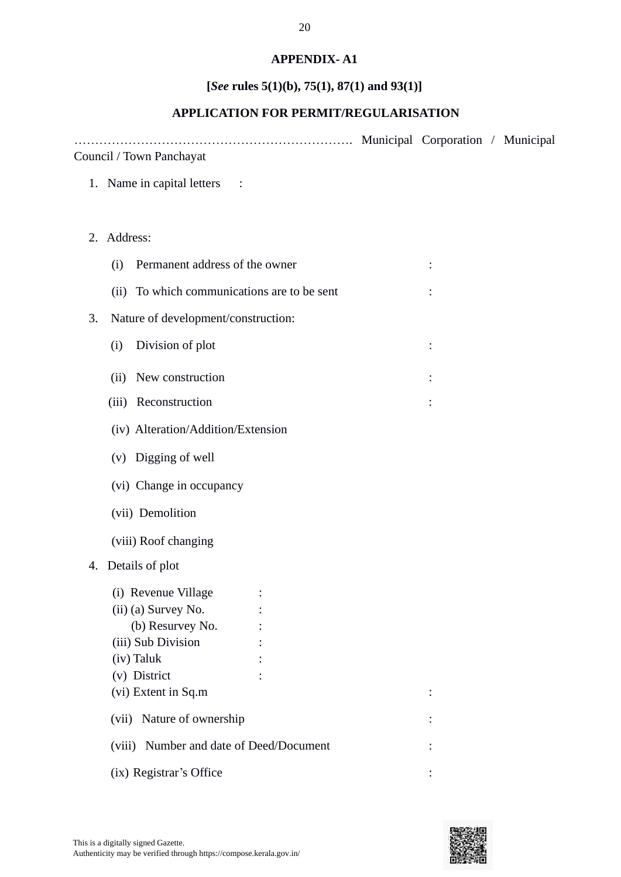## **APPENDIX- A1**

# **[***See* **rules 5(1)(b), 75(1), 87(1) and 93(1)]**

# **APPLICATION FOR PERMIT/REGULARISATION**

…………………………………………………………. Municipal Corporation / Municipal Council / Town Panchayat

- 1. Name in capital letters :
- 2. Address:

| (i)                                         | Permanent address of the owner |                |  |  |  |  |
|---------------------------------------------|--------------------------------|----------------|--|--|--|--|
| (ii) To which communications are to be sent |                                |                |  |  |  |  |
| Nature of development/construction:<br>3.   |                                |                |  |  |  |  |
| Division of plot<br>(i)                     |                                | $\ddot{\cdot}$ |  |  |  |  |
| (ii) New construction                       |                                |                |  |  |  |  |
| (iii) Reconstruction                        |                                |                |  |  |  |  |
| (iv) Alteration/Addition/Extension          |                                |                |  |  |  |  |
| (v) Digging of well                         |                                |                |  |  |  |  |
| (vi) Change in occupancy                    |                                |                |  |  |  |  |
| (vii) Demolition                            |                                |                |  |  |  |  |
| (viii) Roof changing                        |                                |                |  |  |  |  |
| Details of plot<br>4.                       |                                |                |  |  |  |  |
| (i) Revenue Village                         |                                |                |  |  |  |  |
| (ii) (a) Survey No.                         |                                |                |  |  |  |  |
| (b) Resurvey No.                            |                                |                |  |  |  |  |
| (iii) Sub Division                          |                                |                |  |  |  |  |
| (iv) Taluk                                  |                                |                |  |  |  |  |
| (v) District                                |                                |                |  |  |  |  |
| (vi) Extent in Sq.m                         |                                |                |  |  |  |  |
| (vii) Nature of ownership                   |                                |                |  |  |  |  |
| (viii) Number and date of Deed/Document     |                                |                |  |  |  |  |
| (ix) Registrar's Office                     |                                |                |  |  |  |  |

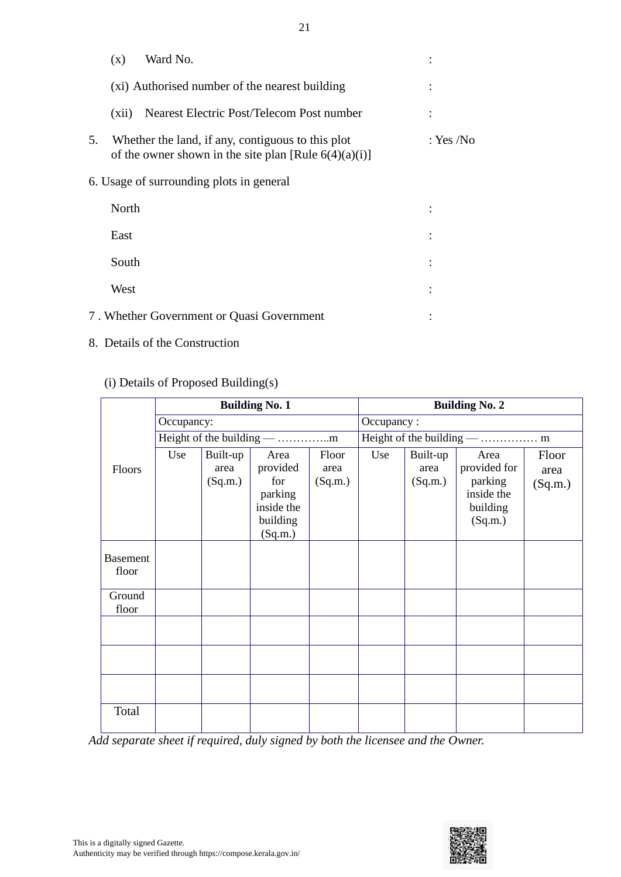|    | (x)   | Ward No.                                                                                                      |           |
|----|-------|---------------------------------------------------------------------------------------------------------------|-----------|
|    |       | (xi) Authorised number of the nearest building                                                                |           |
|    | (xii) | Nearest Electric Post/Telecom Post number                                                                     |           |
| 5. |       | Whether the land, if any, contiguous to this plot<br>of the owner shown in the site plan [Rule $6(4)(a)(i)$ ] | : Yes /No |
|    |       | 6. Usage of surrounding plots in general                                                                      |           |
|    | North |                                                                                                               |           |
|    | East  |                                                                                                               |           |
|    | South |                                                                                                               |           |
|    | West  |                                                                                                               |           |
|    |       | 7. Whether Government or Quasi Government                                                                     |           |

8. Details of the Construction

# (i) Details of Proposed Building(s)

|                          | <b>Building No. 1</b>      |                             |                                                                         |                          | <b>Building No. 2</b> |                             |                                                                      |                          |  |
|--------------------------|----------------------------|-----------------------------|-------------------------------------------------------------------------|--------------------------|-----------------------|-----------------------------|----------------------------------------------------------------------|--------------------------|--|
|                          |                            | Occupancy:                  |                                                                         |                          |                       | Occupancy:                  |                                                                      |                          |  |
|                          | Height of the building — m |                             |                                                                         |                          |                       |                             |                                                                      |                          |  |
| Floors                   | Use                        | Built-up<br>area<br>(Sq.m.) | Area<br>provided<br>for<br>parking<br>inside the<br>building<br>(Sq.m.) | Floor<br>area<br>(Sq.m.) | Use                   | Built-up<br>area<br>(Sq.m.) | Area<br>provided for<br>parking<br>inside the<br>building<br>(Sq.m.) | Floor<br>area<br>(Sq.m.) |  |
| <b>Basement</b><br>floor |                            |                             |                                                                         |                          |                       |                             |                                                                      |                          |  |
| Ground<br>floor          |                            |                             |                                                                         |                          |                       |                             |                                                                      |                          |  |
|                          |                            |                             |                                                                         |                          |                       |                             |                                                                      |                          |  |
|                          |                            |                             |                                                                         |                          |                       |                             |                                                                      |                          |  |
|                          |                            |                             |                                                                         |                          |                       |                             |                                                                      |                          |  |
| Total                    |                            |                             |                                                                         |                          |                       |                             |                                                                      |                          |  |

*Add separate sheet if required, duly signed by both the licensee and the Owner.*

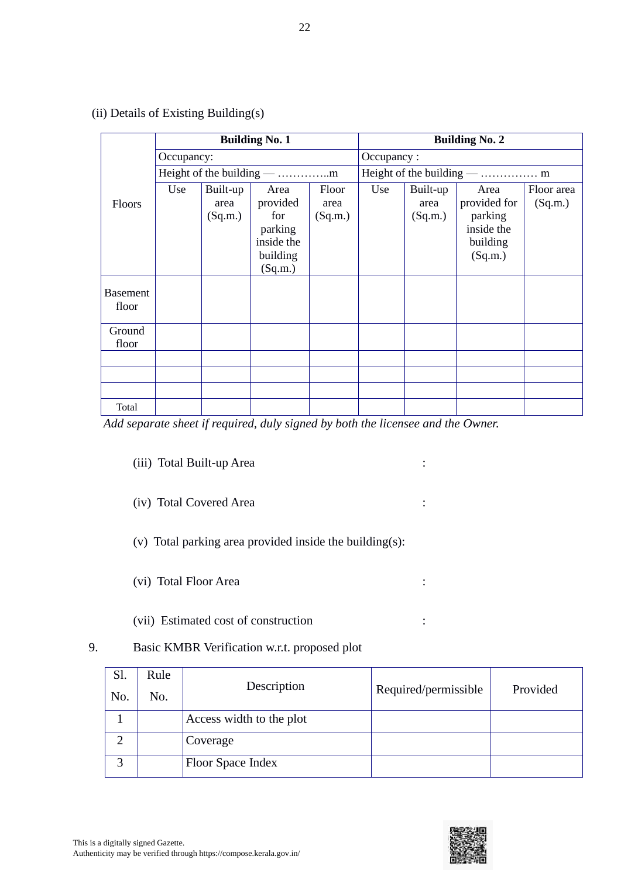|                 | <b>Building No. 1</b>      |          |                       | <b>Building No. 2</b> |            |          |                     |            |
|-----------------|----------------------------|----------|-----------------------|-----------------------|------------|----------|---------------------|------------|
|                 | Occupancy:                 |          |                       |                       | Occupancy: |          |                     |            |
|                 | Height of the building — m |          |                       |                       |            |          |                     |            |
|                 | Use                        | Built-up | Area                  | Floor                 | Use        | Built-up | Area                | Floor area |
| <b>Floors</b>   |                            | area     | provided              | area                  |            | area     | provided for        | (Sq.m.)    |
|                 |                            | (Sq.m.)  | for                   | (Sq.m.)               |            | (Sq.m.)  | parking             |            |
|                 |                            |          | parking<br>inside the |                       |            |          | inside the          |            |
|                 |                            |          | building              |                       |            |          | building<br>(Sq.m.) |            |
|                 |                            |          | (Sq.m.)               |                       |            |          |                     |            |
|                 |                            |          |                       |                       |            |          |                     |            |
| <b>Basement</b> |                            |          |                       |                       |            |          |                     |            |
| floor           |                            |          |                       |                       |            |          |                     |            |
| Ground          |                            |          |                       |                       |            |          |                     |            |
| floor           |                            |          |                       |                       |            |          |                     |            |
|                 |                            |          |                       |                       |            |          |                     |            |
|                 |                            |          |                       |                       |            |          |                     |            |
|                 |                            |          |                       |                       |            |          |                     |            |
| Total           |                            |          |                       |                       |            |          |                     |            |

(ii) Details of Existing Building(s)

*Add separate sheet if required, duly signed by both the licensee and the Owner.*

- (iii) Total Built-up Area :
- (iv) Total Covered Area :
- (v) Total parking area provided inside the building(s):
- (vi) Total Floor Area :
- (vii) Estimated cost of construction :
- 9. Basic KMBR Verification w.r.t. proposed plot

| Sl.<br>No. | Rule<br>No. | Description              | Required/permissible | Provided |
|------------|-------------|--------------------------|----------------------|----------|
|            |             | Access width to the plot |                      |          |
|            |             | Coverage                 |                      |          |
| ⌒          |             | Floor Space Index        |                      |          |

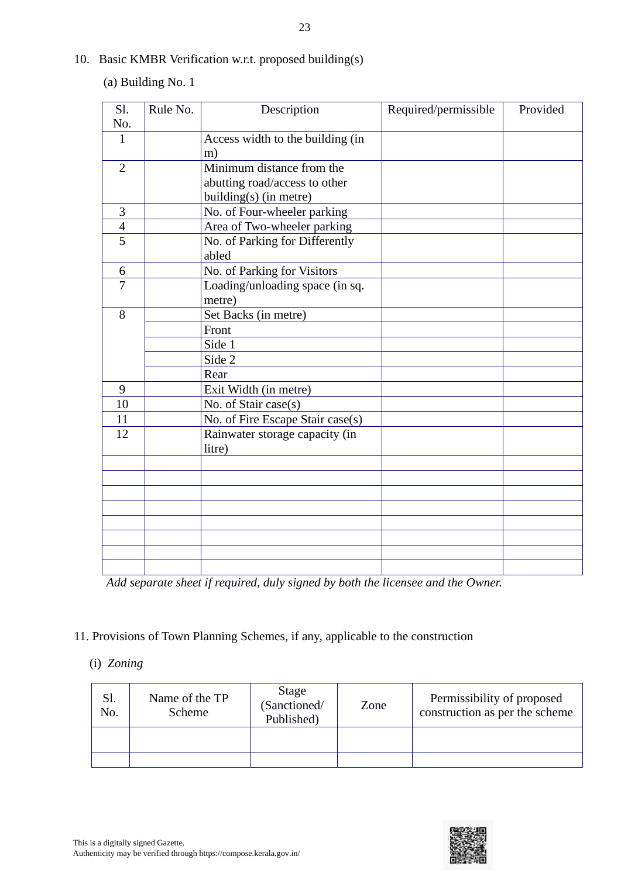10. Basic KMBR Verification w.r.t. proposed building(s)

(a) Building No. 1

| Sl.            | Rule No. | Description                      | Required/permissible | Provided |
|----------------|----------|----------------------------------|----------------------|----------|
| No.            |          |                                  |                      |          |
| 1              |          | Access width to the building (in |                      |          |
|                |          | m)                               |                      |          |
| $\overline{2}$ |          | Minimum distance from the        |                      |          |
|                |          | abutting road/access to other    |                      |          |
|                |          | building(s) (in metre)           |                      |          |
| 3              |          | No. of Four-wheeler parking      |                      |          |
| $\overline{4}$ |          | Area of Two-wheeler parking      |                      |          |
| $\overline{5}$ |          | No. of Parking for Differently   |                      |          |
|                |          | abled                            |                      |          |
| 6              |          | No. of Parking for Visitors      |                      |          |
| $\overline{7}$ |          | Loading/unloading space (in sq.  |                      |          |
|                |          | metre)                           |                      |          |
| 8              |          | Set Backs (in metre)             |                      |          |
|                |          | Front                            |                      |          |
|                |          | Side 1                           |                      |          |
|                |          | Side 2                           |                      |          |
|                |          | Rear                             |                      |          |
| 9              |          | Exit Width (in metre)            |                      |          |
| 10             |          | No. of Stair case(s)             |                      |          |
| 11             |          | No. of Fire Escape Stair case(s) |                      |          |
| 12             |          | Rainwater storage capacity (in   |                      |          |
|                |          | litre)                           |                      |          |
|                |          |                                  |                      |          |
|                |          |                                  |                      |          |
|                |          |                                  |                      |          |
|                |          |                                  |                      |          |
|                |          |                                  |                      |          |
|                |          |                                  |                      |          |
|                |          |                                  |                      |          |
|                |          |                                  |                      |          |

*Add separate sheet if required, duly signed by both the licensee and the Owner.*

11. Provisions of Town Planning Schemes, if any, applicable to the construction

# (i) *Zoning*

| Sl.<br>No. | Name of the TP<br>Scheme | Stage<br>(Sanctioned/<br>Published) | Zone | Permissibility of proposed<br>construction as per the scheme |
|------------|--------------------------|-------------------------------------|------|--------------------------------------------------------------|
|            |                          |                                     |      |                                                              |

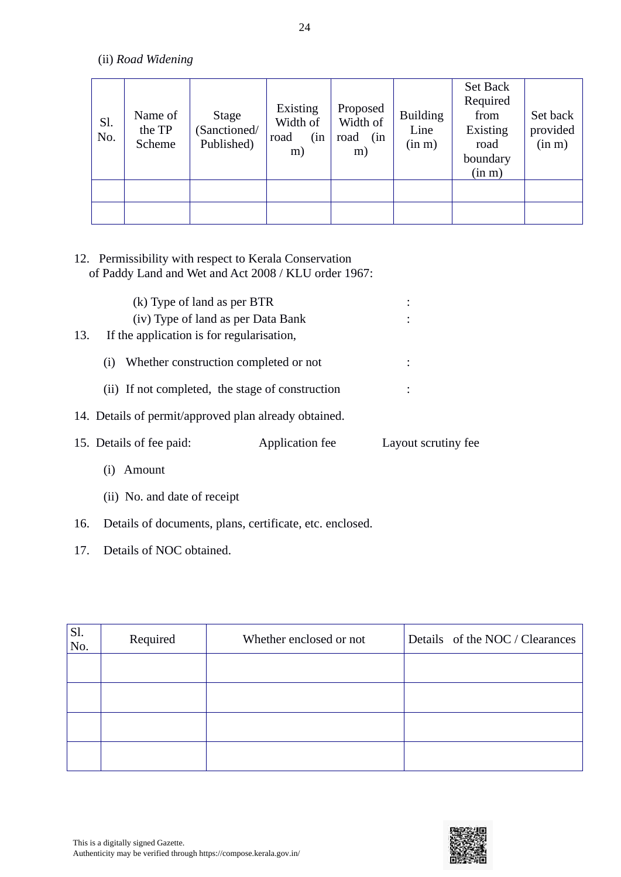(ii) *Road Widening*

| Sl.<br>No. | Name of<br>the TP<br>Scheme | <b>Stage</b><br>(Sanctioned/<br>Published) | Existing<br>Width of<br>(in<br>road<br>m) | Proposed<br>Width of<br>road<br>(in<br>m) | <b>Building</b><br>Line<br>(in m) | Set Back<br>Required<br>from<br>Existing<br>road<br>boundary<br>(in m) | Set back<br>provided<br>(in m) |
|------------|-----------------------------|--------------------------------------------|-------------------------------------------|-------------------------------------------|-----------------------------------|------------------------------------------------------------------------|--------------------------------|
|            |                             |                                            |                                           |                                           |                                   |                                                                        |                                |
|            |                             |                                            |                                           |                                           |                                   |                                                                        |                                |

# 12. Permissibility with respect to Kerala Conservation of Paddy Land and Wet and Act 2008 / KLU order 1967:

| (k) Type of land as per BTR                           | (iv) Type of land as per Data Bank               |                     |
|-------------------------------------------------------|--------------------------------------------------|---------------------|
| 13.<br>If the application is for regularization,      |                                                  |                     |
| (i)                                                   | Whether construction completed or not            |                     |
|                                                       | (ii) If not completed, the stage of construction |                     |
| 14. Details of permit/approved plan already obtained. |                                                  |                     |
| 15. Details of fee paid:                              | Application fee                                  | Layout scrutiny fee |
| Amount                                                |                                                  |                     |

- (ii) No. and date of receipt
- 16. Details of documents, plans, certificate, etc. enclosed.
- 17. Details of NOC obtained.

| Sl.<br>No. | Required | Whether enclosed or not | Details of the NOC / Clearances |
|------------|----------|-------------------------|---------------------------------|
|            |          |                         |                                 |
|            |          |                         |                                 |
|            |          |                         |                                 |
|            |          |                         |                                 |

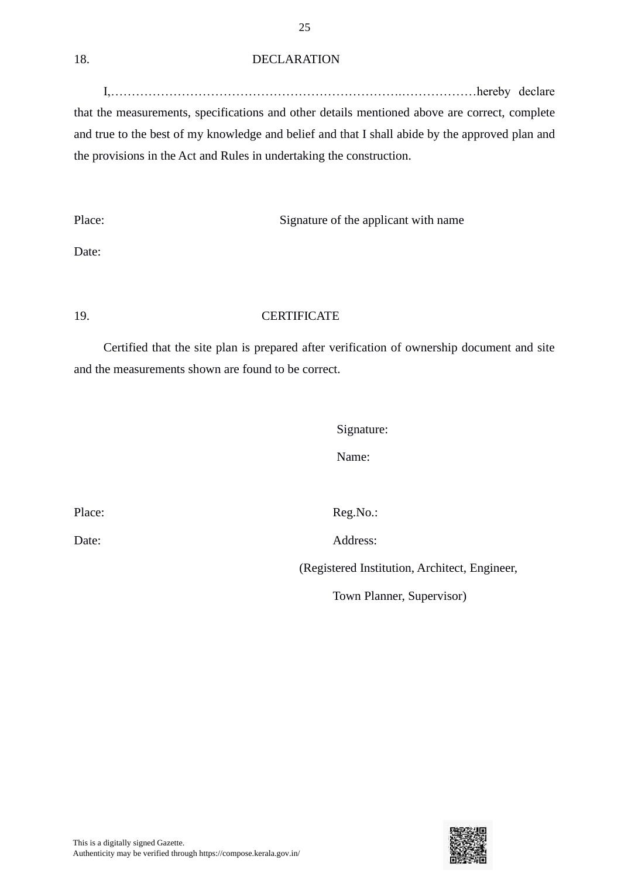#### 18. DECLARATION

I,…………………………………………………………….………………hereby declare that the measurements, specifications and other details mentioned above are correct, complete and true to the best of my knowledge and belief and that I shall abide by the approved plan and the provisions in the Act and Rules in undertaking the construction.

Place: Signature of the applicant with name

Date:

# 19. CERTIFICATE

Certified that the site plan is prepared after verification of ownership document and site and the measurements shown are found to be correct.

Signature:

Name:

Place: Reg.No.:

Date: Address:

(Registered Institution, Architect, Engineer,

Town Planner, Supervisor)

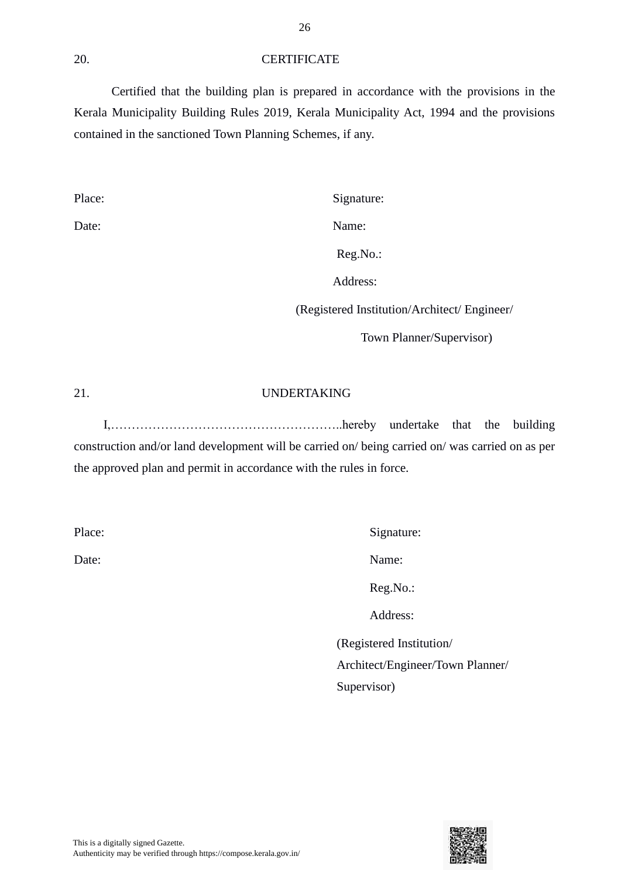#### 20. CERTIFICATE

Certified that the building plan is prepared in accordance with the provisions in the Kerala Municipality Building Rules 2019, Kerala Municipality Act, 1994 and the provisions contained in the sanctioned Town Planning Schemes, if any.

Place: Signature:

Date: Name:

Reg.No.:

Address:

(Registered Institution/Architect/ Engineer/

Town Planner/Supervisor)

#### 21. UNDERTAKING

I,………………………………………………..hereby undertake that the building construction and/or land development will be carried on/ being carried on/ was carried on as per the approved plan and permit in accordance with the rules in force.

Place: Signature:

Date: Name:

Reg.No.:

Address:

(Registered Institution/ Architect/Engineer/Town Planner/ Supervisor)

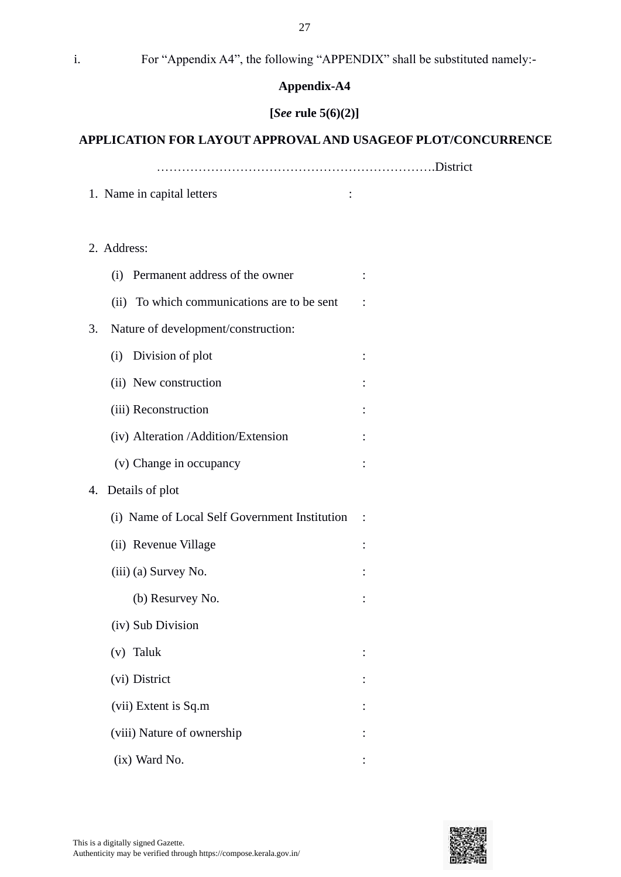i. For "Appendix A4", the following "APPENDIX" shall be substituted namely:-

#### **Appendix-A4**

# **[***See* **rule 5(6)(2)]**

## **APPLICATION FOR LAYOUT APPROVAL AND USAGEOF PLOT/CONCURRENCE**

………………………………………………………….District

- 1. Name in capital letters :
- 2. Address:

|    | (i) Permanent address of the owner            |  |
|----|-----------------------------------------------|--|
|    | (ii) To which communications are to be sent   |  |
| 3. | Nature of development/construction:           |  |
|    | (i) Division of plot                          |  |
|    | (ii) New construction                         |  |
|    | (iii) Reconstruction                          |  |
|    | (iv) Alteration /Addition/Extension           |  |
|    | (v) Change in occupancy                       |  |
| 4. | Details of plot                               |  |
|    | (i) Name of Local Self Government Institution |  |
|    | (ii) Revenue Village                          |  |
|    | (iii) (a) Survey No.                          |  |
|    | (b) Resurvey No.                              |  |
|    | (iv) Sub Division                             |  |
|    | (v) Taluk                                     |  |
|    | (vi) District                                 |  |
|    | (vii) Extent is Sq.m                          |  |
|    | (viii) Nature of ownership                    |  |
|    | (ix) Ward No.                                 |  |

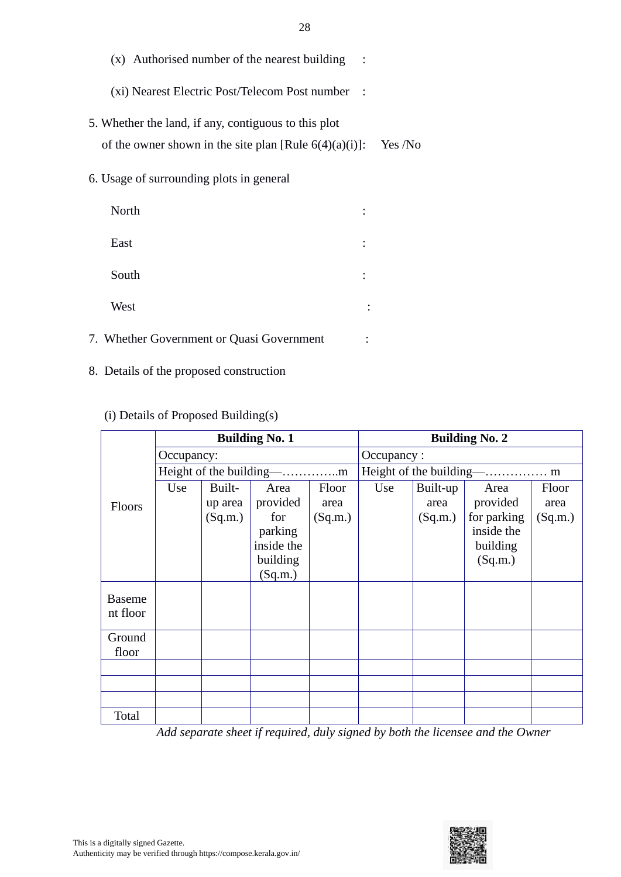| (x) Authorised number of the nearest building                                                                     |         |
|-------------------------------------------------------------------------------------------------------------------|---------|
| (xi) Nearest Electric Post/Telecom Post number                                                                    |         |
| 5. Whether the land, if any, contiguous to this plot<br>of the owner shown in the site plan [Rule $6(4)(a)(i)$ ]: | Yes /No |
| 6. Usage of surrounding plots in general                                                                          |         |
| North                                                                                                             |         |
|                                                                                                                   |         |

| East                                      |  |
|-------------------------------------------|--|
| South                                     |  |
| West                                      |  |
| 7. Whether Government or Quasi Government |  |

8. Details of the proposed construction

# (i) Details of Proposed Building(s)

|                           | <b>Building No. 1</b>                   |                              |                                                                         | <b>Building No. 2</b>    |                         |                             |                                                                      |                          |
|---------------------------|-----------------------------------------|------------------------------|-------------------------------------------------------------------------|--------------------------|-------------------------|-----------------------------|----------------------------------------------------------------------|--------------------------|
|                           | Occupancy:                              |                              |                                                                         | Occupancy:               |                         |                             |                                                                      |                          |
|                           | Height of the building-<br>$-\dots$ $m$ |                              |                                                                         |                          | Height of the building- |                             | -. m                                                                 |                          |
| Floors                    | Use                                     | Built-<br>up area<br>(Sq.m.) | Area<br>provided<br>for<br>parking<br>inside the<br>building<br>(Sq.m.) | Floor<br>area<br>(Sq.m.) | Use                     | Built-up<br>area<br>(Sq.m.) | Area<br>provided<br>for parking<br>inside the<br>building<br>(Sq.m.) | Floor<br>area<br>(Sq.m.) |
| <b>Baseme</b><br>nt floor |                                         |                              |                                                                         |                          |                         |                             |                                                                      |                          |
| Ground<br>floor           |                                         |                              |                                                                         |                          |                         |                             |                                                                      |                          |
|                           |                                         |                              |                                                                         |                          |                         |                             |                                                                      |                          |
|                           |                                         |                              |                                                                         |                          |                         |                             |                                                                      |                          |
|                           |                                         |                              |                                                                         |                          |                         |                             |                                                                      |                          |
| Total                     |                                         |                              |                                                                         |                          |                         |                             |                                                                      |                          |

*Add separate sheet if required, duly signed by both the licensee and the Owner*

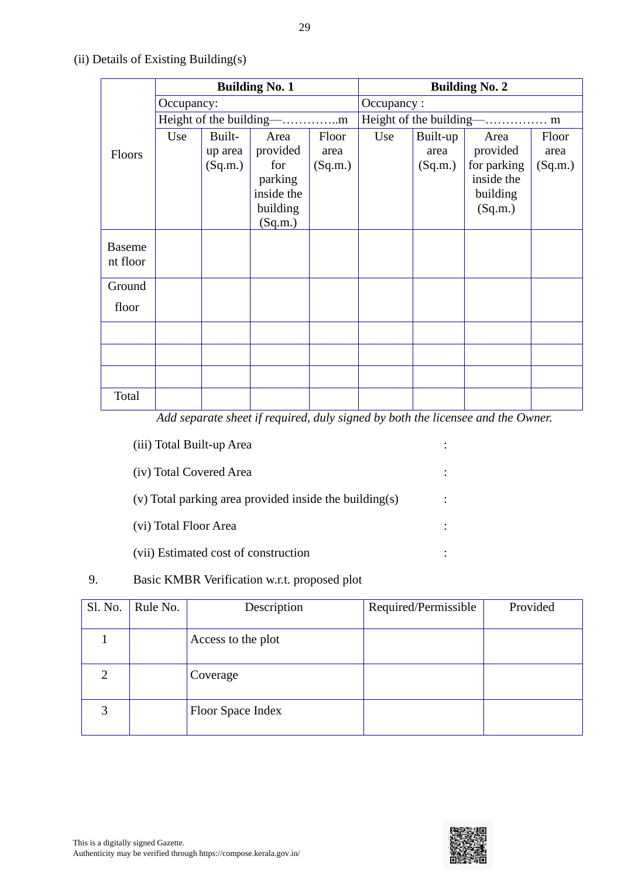|                           | <b>Building No. 1</b> |                              |                                                                         | <b>Building No. 2</b>    |     |                             |                                                                      |                          |
|---------------------------|-----------------------|------------------------------|-------------------------------------------------------------------------|--------------------------|-----|-----------------------------|----------------------------------------------------------------------|--------------------------|
|                           | Occupancy:            |                              |                                                                         | Occupancy:               |     |                             |                                                                      |                          |
|                           |                       |                              |                                                                         |                          |     |                             |                                                                      |                          |
| Floors                    | Use                   | Built-<br>up area<br>(Sq.m.) | Area<br>provided<br>for<br>parking<br>inside the<br>building<br>(Sq.m.) | Floor<br>area<br>(Sq.m.) | Use | Built-up<br>area<br>(Sq.m.) | Area<br>provided<br>for parking<br>inside the<br>building<br>(Sq.m.) | Floor<br>area<br>(Sq.m.) |
| <b>Baseme</b><br>nt floor |                       |                              |                                                                         |                          |     |                             |                                                                      |                          |
| Ground                    |                       |                              |                                                                         |                          |     |                             |                                                                      |                          |
| floor                     |                       |                              |                                                                         |                          |     |                             |                                                                      |                          |
|                           |                       |                              |                                                                         |                          |     |                             |                                                                      |                          |
|                           |                       |                              |                                                                         |                          |     |                             |                                                                      |                          |
|                           |                       |                              |                                                                         |                          |     |                             |                                                                      |                          |
| Total                     |                       |                              |                                                                         |                          |     |                             |                                                                      |                          |

# (ii) Details of Existing Building(s)

*Add separate sheet if required, duly signed by both the licensee and the Owner.*

| (iii) Total Built-up Area                              |  |
|--------------------------------------------------------|--|
| (iv) Total Covered Area                                |  |
| (v) Total parking area provided inside the building(s) |  |
| (vi) Total Floor Area                                  |  |
| (vii) Estimated cost of construction                   |  |

# 9. Basic KMBR Verification w.r.t. proposed plot

| Sl. No. | Rule No. | Description        | Required/Permissible | Provided |
|---------|----------|--------------------|----------------------|----------|
|         |          | Access to the plot |                      |          |
| ⌒       |          | Coverage           |                      |          |
| 3       |          | Floor Space Index  |                      |          |

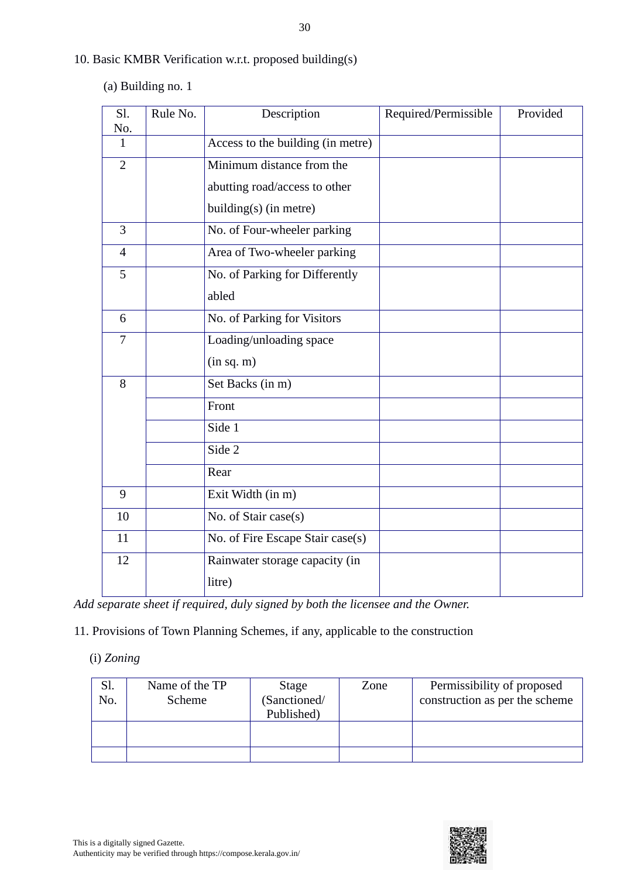30

- 10. Basic KMBR Verification w.r.t. proposed building(s)
	- (a) Building no. 1

| Sl.<br>No.     | Rule No. | Description                       | Required/Permissible | Provided |
|----------------|----------|-----------------------------------|----------------------|----------|
| 1              |          | Access to the building (in metre) |                      |          |
| $\overline{2}$ |          | Minimum distance from the         |                      |          |
|                |          | abutting road/access to other     |                      |          |
|                |          | $building(s)$ (in metre)          |                      |          |
| $\overline{3}$ |          | No. of Four-wheeler parking       |                      |          |
| $\overline{4}$ |          | Area of Two-wheeler parking       |                      |          |
| 5              |          | No. of Parking for Differently    |                      |          |
|                |          | abled                             |                      |          |
| 6              |          | No. of Parking for Visitors       |                      |          |
| $\overline{7}$ |          | Loading/unloading space           |                      |          |
|                |          | (in sq. m)                        |                      |          |
| 8              |          | Set Backs (in m)                  |                      |          |
|                |          | Front                             |                      |          |
|                |          | Side 1                            |                      |          |
|                |          | Side 2                            |                      |          |
|                |          | Rear                              |                      |          |
| 9              |          | Exit Width (in m)                 |                      |          |
| 10             |          | No. of Stair case(s)              |                      |          |
| 11             |          | No. of Fire Escape Stair case(s)  |                      |          |
| 12             |          | Rainwater storage capacity (in    |                      |          |
|                |          | litre)                            |                      |          |

*Add separate sheet if required, duly signed by both the licensee and the Owner.*

11. Provisions of Town Planning Schemes, if any, applicable to the construction

(i) *Zoning*

| Sl.<br>No. | Name of the TP<br>Scheme | Stage<br>(Sanctioned/<br>Published) | Zone | Permissibility of proposed<br>construction as per the scheme |
|------------|--------------------------|-------------------------------------|------|--------------------------------------------------------------|
|            |                          |                                     |      |                                                              |

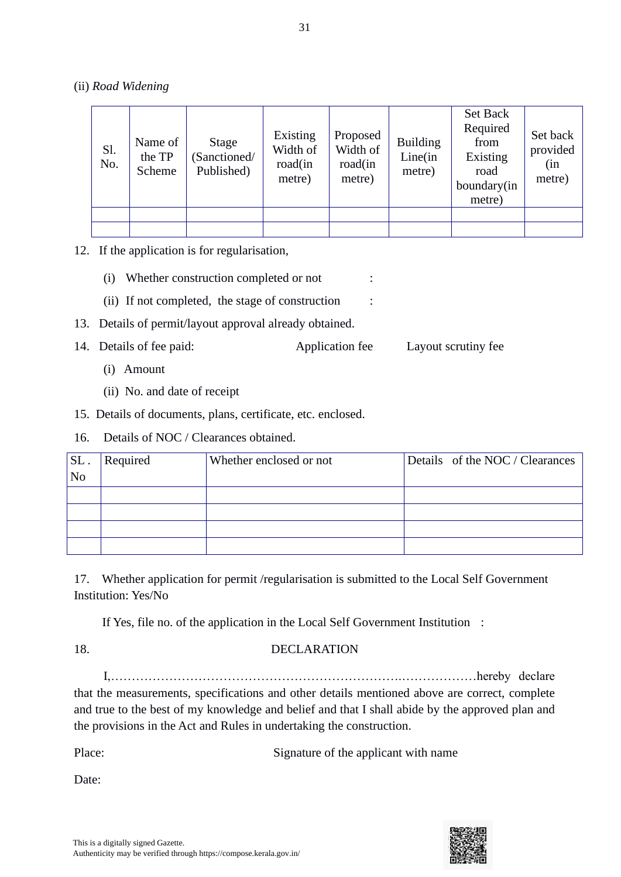(ii) *Road Widening*

| Sl.<br>No. | Name of<br>the TP<br>Scheme | Stage<br>Sanctioned/<br>Published) | Existing<br>Width of<br>road(in<br>metre) | Proposed<br>Width of<br>road(in<br>metre) | <b>Building</b><br>Line(in<br>metre) | <b>Set Back</b><br>Required<br>from<br>Existing<br>road<br>boundary(in<br>metre) | Set back<br>provided<br>(in<br>metre) |
|------------|-----------------------------|------------------------------------|-------------------------------------------|-------------------------------------------|--------------------------------------|----------------------------------------------------------------------------------|---------------------------------------|
|            |                             |                                    |                                           |                                           |                                      |                                                                                  |                                       |
|            |                             |                                    |                                           |                                           |                                      |                                                                                  |                                       |

12. If the application is for regularisation,

- (i) Whether construction completed or not :
- (ii) If not completed, the stage of construction :
- 13. Details of permit/layout approval already obtained.
- 14. Details of fee paid: Application fee Layout scrutiny fee
	- (i) Amount
	- (ii) No. and date of receipt
- 15. Details of documents, plans, certificate, etc. enclosed.
- 16. Details of NOC / Clearances obtained.

| SL.<br>N <sub>o</sub> | Required | Whether enclosed or not | Details of the NOC / Clearances |
|-----------------------|----------|-------------------------|---------------------------------|
|                       |          |                         |                                 |
|                       |          |                         |                                 |
|                       |          |                         |                                 |
|                       |          |                         |                                 |

17. Whether application for permit /regularisation is submitted to the Local Self Government Institution: Yes/No

If Yes, file no. of the application in the Local Self Government Institution :

# 18. DECLARATION

I,…………………………………………………………….………………hereby declare that the measurements, specifications and other details mentioned above are correct, complete and true to the best of my knowledge and belief and that I shall abide by the approved plan and the provisions in the Act and Rules in undertaking the construction.

| Place: | Signature of the applicant with name |
|--------|--------------------------------------|
|        |                                      |

Date:

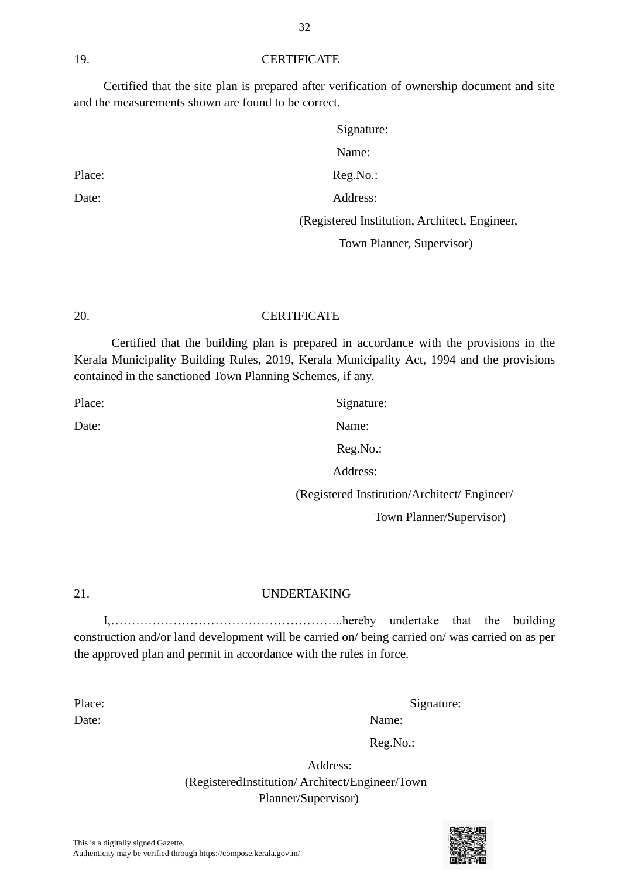21. UNDERTAKING

Place: Signature:

Date: Name:

# 19. CERTIFICATE

Certified that the site plan is prepared after verification of ownership document and site and the measurements shown are found to be correct.

|        | Signature:                                    |
|--------|-----------------------------------------------|
|        | Name:                                         |
| Place: | $Reg.No.$ :                                   |
| Date:  | Address:                                      |
|        | (Registered Institution, Architect, Engineer, |
|        | Town Planner, Supervisor)                     |

20. CERTIFICATE

Certified that the building plan is prepared in accordance with the provisions in the Kerala Municipality Building Rules, 2019, Kerala Municipality Act, 1994 and the provisions contained in the sanctioned Town Planning Schemes, if any.

Reg.No.:

Address:

(Registered Institution/Architect/ Engineer/

Town Planner/Supervisor)

I,………………………………………………..hereby undertake that the building construction and/or land development will be carried on/ being carried on/ was carried on as per the approved plan and permit in accordance with the rules in force.

Date: Name:

Place: Signature:

Reg.No.:

 Address: (RegisteredInstitution/ Architect/Engineer/Town Planner/Supervisor)

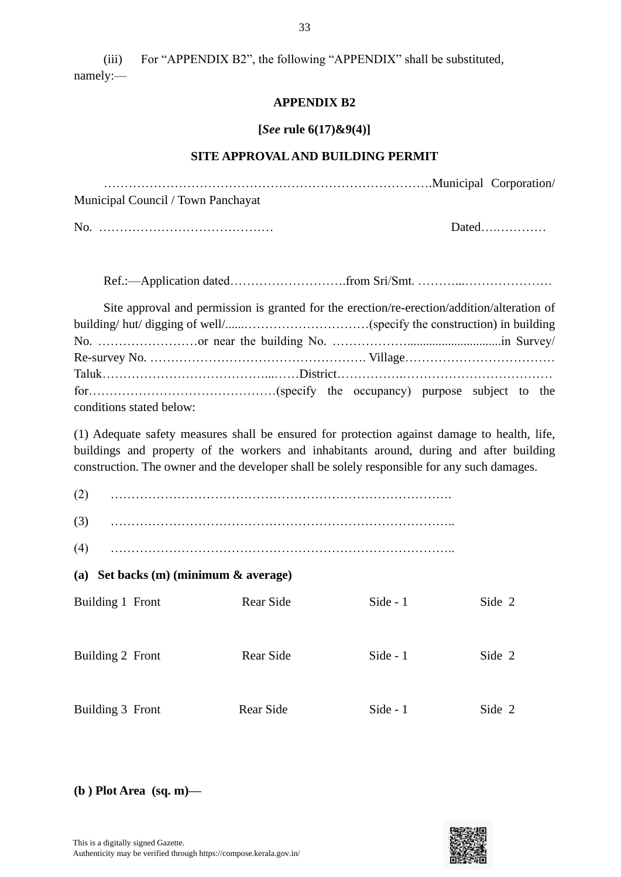(iii) For "APPENDIX B2", the following "APPENDIX" shall be substituted, namely:—

#### **APPENDIX B2**

#### **[***See* **rule 6(17)&9(4)]**

#### **SITE APPROVAL AND BUILDING PERMIT**

…………………………………………………………………….Municipal Corporation/ Municipal Council / Town Panchayat

No. …………………………………… Dated….…………

Ref.:—Application dated……………………….from Sri/Smt. ………...…………………

| Site approval and permission is granted for the erection/re-erection/addition/alteration of |  |  |  |
|---------------------------------------------------------------------------------------------|--|--|--|
|                                                                                             |  |  |  |
|                                                                                             |  |  |  |
|                                                                                             |  |  |  |
|                                                                                             |  |  |  |
|                                                                                             |  |  |  |
| conditions stated below:                                                                    |  |  |  |

(1) Adequate safety measures shall be ensured for protection against damage to health, life, buildings and property of the workers and inhabitants around, during and after building construction. The owner and the developer shall be solely responsible for any such damages.

(2) ……………………………………………………………………….

(3) ………………………………………………………………………..

**(a) Set backs (m) (minimum & average)**

| Building 1 Front | Rear Side | Side $-1$  | Side 2 |
|------------------|-----------|------------|--------|
|                  |           |            |        |
|                  |           |            |        |
|                  |           |            |        |
|                  |           |            |        |
| Building 2 Front | Rear Side | Side $-1$  | Side 2 |
|                  |           |            |        |
|                  |           |            |        |
|                  |           |            |        |
| Building 3 Front | Rear Side | Side - $1$ | Side 2 |
|                  |           |            |        |

**(b ) Plot Area (sq. m)—**

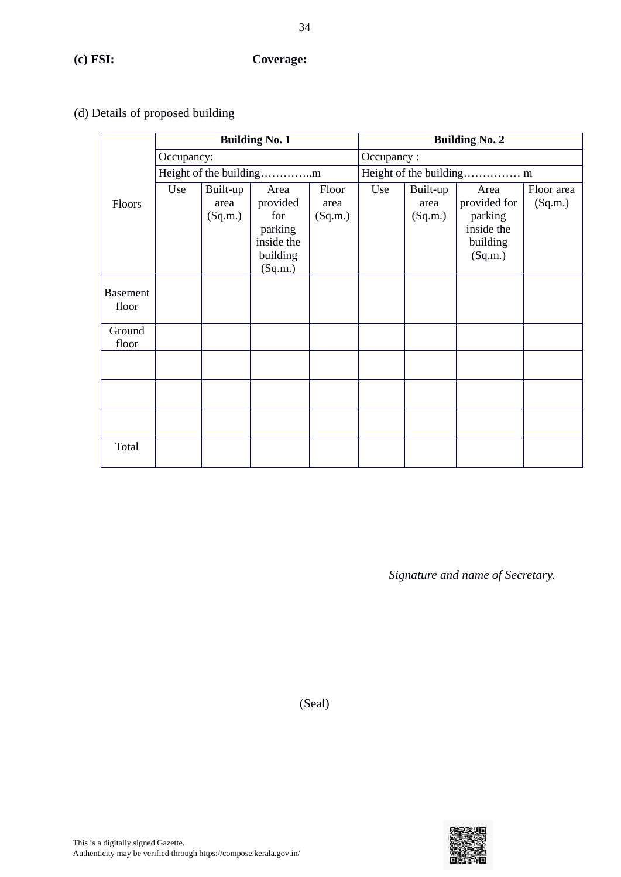# (d) Details of proposed building

|                          |            |                             | <b>Building No. 1</b>                                                   |                          | <b>Building No. 2</b> |                             |                                                                      |                       |  |
|--------------------------|------------|-----------------------------|-------------------------------------------------------------------------|--------------------------|-----------------------|-----------------------------|----------------------------------------------------------------------|-----------------------|--|
|                          | Occupancy: |                             |                                                                         |                          | Occupancy:            |                             |                                                                      |                       |  |
|                          |            |                             |                                                                         |                          |                       |                             | Height of the building m                                             |                       |  |
| Floors                   | Use        | Built-up<br>area<br>(Sq.m.) | Area<br>provided<br>for<br>parking<br>inside the<br>building<br>(Sq.m.) | Floor<br>area<br>(Sq.m.) | Use                   | Built-up<br>area<br>(Sq.m.) | Area<br>provided for<br>parking<br>inside the<br>building<br>(Sq.m.) | Floor area<br>(Sq.m.) |  |
| <b>Basement</b><br>floor |            |                             |                                                                         |                          |                       |                             |                                                                      |                       |  |
| Ground<br>floor          |            |                             |                                                                         |                          |                       |                             |                                                                      |                       |  |
|                          |            |                             |                                                                         |                          |                       |                             |                                                                      |                       |  |
|                          |            |                             |                                                                         |                          |                       |                             |                                                                      |                       |  |
|                          |            |                             |                                                                         |                          |                       |                             |                                                                      |                       |  |
| Total                    |            |                             |                                                                         |                          |                       |                             |                                                                      |                       |  |

*Signature and name of Secretary.*

(Seal)

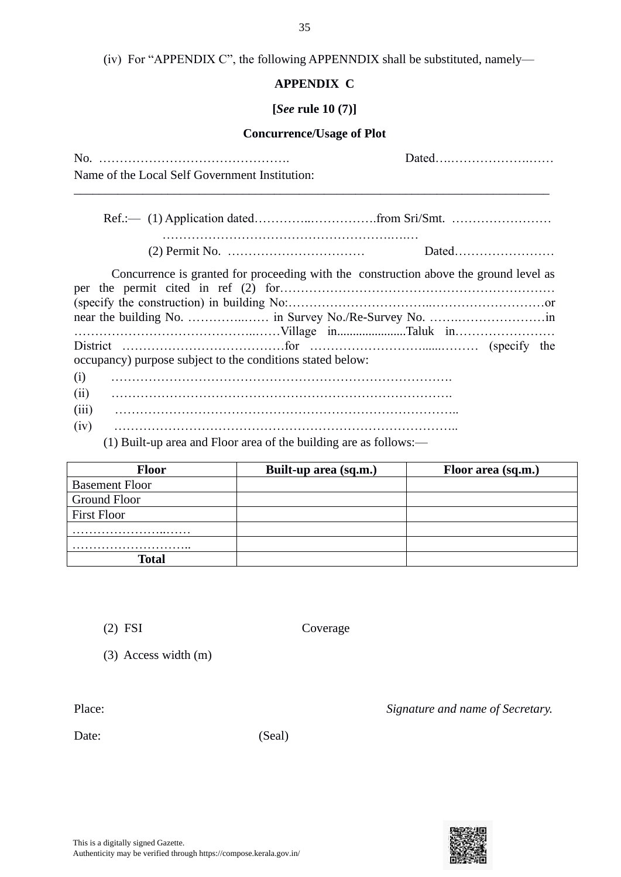|  |  | (iv) For "APPENDIX C", the following APPENNDIX shall be substituted, namely— |
|--|--|------------------------------------------------------------------------------|
|--|--|------------------------------------------------------------------------------|

# **APPENDIX C**

#### **[***See* **rule 10 (7)]**

# **Concurrence/Usage of Plot**

| Name of the Local Self Government Institution:                                        | Dated |
|---------------------------------------------------------------------------------------|-------|
|                                                                                       |       |
|                                                                                       |       |
| Concurrence is granted for proceeding with the construction above the ground level as |       |
| occupancy) purpose subject to the conditions stated below:                            |       |
| (i)                                                                                   |       |
| (ii)<br>(iii)                                                                         |       |
| (iv)                                                                                  |       |

(1) Built-up area and Floor area of the building are as follows:—

| <b>Floor</b>          | Built-up area (sq.m.) | Floor area (sq.m.) |
|-----------------------|-----------------------|--------------------|
| <b>Basement Floor</b> |                       |                    |
| Ground Floor          |                       |                    |
| <b>First Floor</b>    |                       |                    |
|                       |                       |                    |
|                       |                       |                    |
| Total                 |                       |                    |

(2) FSI Coverage

(3) Access width (m)

Place: *Signature and name of Secretary.* 

Date: (Seal)

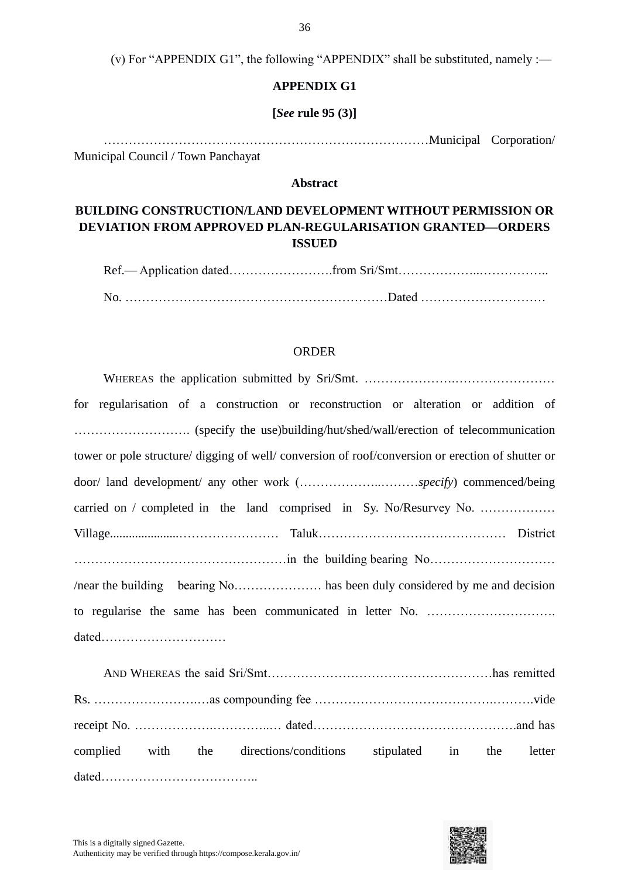(v) For "APPENDIX G1", the following "APPENDIX" shall be substituted, namely :—

#### **APPENDIX G1**

#### **[***See* **rule 95 (3)]**

……………………………………………………………………Municipal Corporation/ Municipal Council / Town Panchayat

#### **Abstract**

# **BUILDING CONSTRUCTION/LAND DEVELOPMENT WITHOUT PERMISSION OR DEVIATION FROM APPROVED PLAN-REGULARISATION GRANTED—ORDERS ISSUED**

Ref.— Application dated…………………….from Sri/Smt………………..…………….. No. ………………………………………………………Dated …………………………

#### ORDER

| for regularisation of a construction or reconstruction or alteration or addition of               |
|---------------------------------------------------------------------------------------------------|
|                                                                                                   |
| tower or pole structure/ digging of well/ conversion of roof/conversion or erection of shutter or |
|                                                                                                   |
| carried on / completed in the land comprised in Sy. No/Resurvey No.                               |
|                                                                                                   |
|                                                                                                   |
|                                                                                                   |
|                                                                                                   |
|                                                                                                   |

|  | complied with the directions/conditions stipulated in the letter |  |  |
|--|------------------------------------------------------------------|--|--|
|  |                                                                  |  |  |

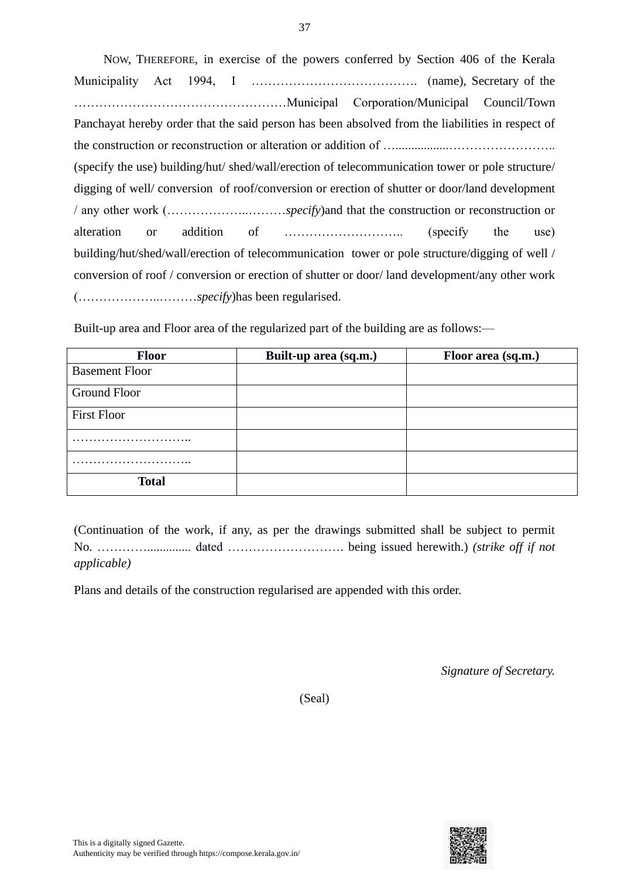NOW, THEREFORE, in exercise of the powers conferred by Section 406 of the Kerala Municipality Act 1994, I …………………………………. (name), Secretary of the ……………………………………………Municipal Corporation/Municipal Council/Town Panchayat hereby order that the said person has been absolved from the liabilities in respect of the construction or reconstruction or alteration or addition of ….................…………………….. (specify the use) building/hut/ shed/wall/erection of telecommunication tower or pole structure/ digging of well/ conversion of roof/conversion or erection of shutter or door/land development / any other work (………………..………*specify*)and that the construction or reconstruction or alteration or addition of ……………………….. (specify the use) building/hut/shed/wall/erection of telecommunication tower or pole structure/digging of well / conversion of roof / conversion or erection of shutter or door/ land development/any other work (………………..………*specify*)has been regularised.

Built-up area and Floor area of the regularized part of the building are as follows:—

| <b>Floor</b>          | Built-up area (sq.m.) | Floor area (sq.m.) |
|-----------------------|-----------------------|--------------------|
| <b>Basement Floor</b> |                       |                    |
| Ground Floor          |                       |                    |
| <b>First Floor</b>    |                       |                    |
|                       |                       |                    |
|                       |                       |                    |
| <b>Total</b>          |                       |                    |

(Continuation of the work, if any, as per the drawings submitted shall be subject to permit No. ………….............. dated ………………………. being issued herewith.) *(strike off if not applicable)*

Plans and details of the construction regularised are appended with this order.

*Signature of Secretary.*

(Seal)

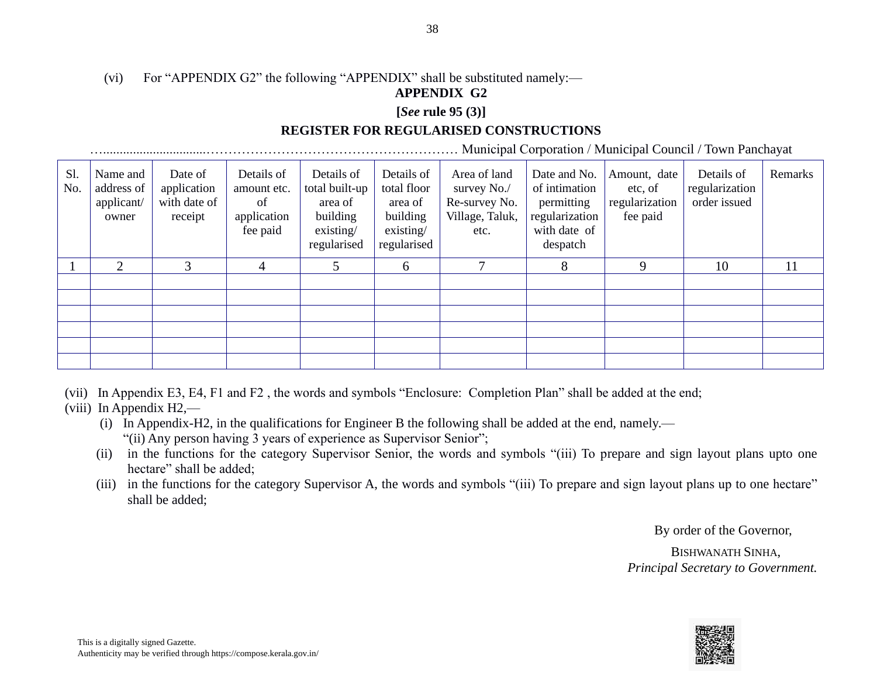# (vi) For "APPENDIX G2" the following "APPENDIX" shall be substituted namely:—

# **APPENDIX G2**

#### **[***See* **rule 95 (3)]**

# **REGISTER FOR REGULARISED CONSTRUCTIONS**

…...............................………………………………………………… Municipal Corporation / Municipal Council / Town Panchayat

| Sl.<br>No. | Name and<br>address of<br>applicant/<br>owner | Date of<br>application<br>with date of<br>receipt | Details of<br>amount etc.<br>of<br>application<br>fee paid | Details of<br>total built-up<br>area of<br>building<br>existing/<br>regularised | Details of<br>total floor<br>area of<br>building<br>existsing/<br>regularised | Area of land<br>survey No./<br>Re-survey No.<br>Village, Taluk,<br>etc. | Date and No.<br>of intimation<br>permitting<br>regularization<br>with date of<br>despatch | Amount, date<br>etc, of<br>regularization<br>fee paid | Details of<br>regularization<br>order issued | Remarks |
|------------|-----------------------------------------------|---------------------------------------------------|------------------------------------------------------------|---------------------------------------------------------------------------------|-------------------------------------------------------------------------------|-------------------------------------------------------------------------|-------------------------------------------------------------------------------------------|-------------------------------------------------------|----------------------------------------------|---------|
|            | $\mathcal{D}_{\mathcal{L}}$                   | 3                                                 | 4                                                          |                                                                                 | 6                                                                             |                                                                         | 8                                                                                         | Q                                                     | 10                                           | 11      |
|            |                                               |                                                   |                                                            |                                                                                 |                                                                               |                                                                         |                                                                                           |                                                       |                                              |         |
|            |                                               |                                                   |                                                            |                                                                                 |                                                                               |                                                                         |                                                                                           |                                                       |                                              |         |
|            |                                               |                                                   |                                                            |                                                                                 |                                                                               |                                                                         |                                                                                           |                                                       |                                              |         |
|            |                                               |                                                   |                                                            |                                                                                 |                                                                               |                                                                         |                                                                                           |                                                       |                                              |         |
|            |                                               |                                                   |                                                            |                                                                                 |                                                                               |                                                                         |                                                                                           |                                                       |                                              |         |
|            |                                               |                                                   |                                                            |                                                                                 |                                                                               |                                                                         |                                                                                           |                                                       |                                              |         |

- (vii) In Appendix E3, E4, F1 and F2 , the words and symbols "Enclosure: Completion Plan" shall be added at the end;
- (viii) In Appendix H2,—
	- (i) In Appendix-H2, in the qualifications for Engineer B the following shall be added at the end, namely.— "(ii) Any person having 3 years of experience as Supervisor Senior";
	- (ii) in the functions for the category Supervisor Senior, the words and symbols "(iii) To prepare and sign layout plans upto one hectare" shall be added:
	- (iii) in the functions for the category Supervisor A, the words and symbols "(iii) To prepare and sign layout plans up to one hectare" shall be added;

By order of the Governor,

 BISHWANATH SINHA, *Principal Secretary to Government.*